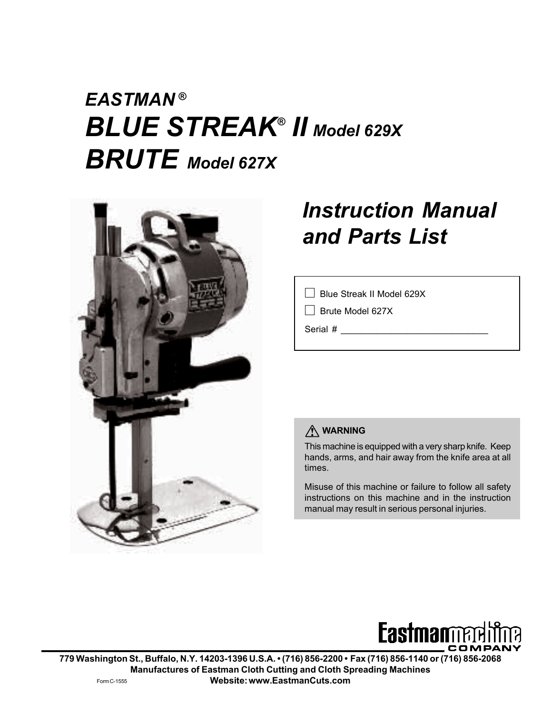# *EASTMAN ® BLUE STREAK® II Model 629X BRUTE Model 627X*



# *Instruction Manual and Parts List*

Blue Streak II Model 629X

Brute Model 627X

Serial #

## **WARNING**

This machine is equipped with a very sharp knife. Keep hands, arms, and hair away from the knife area at all times.

Misuse of this machine or failure to follow all safety instructions on this machine and in the instruction manual may result in serious personal injuries.



**779 Washington St., Buffalo, N.Y. 14203-1396 U.S.A. • (716) 856-2200 • Fax (716) 856-1140 or (716) 856-2068 Manufactures of Eastman Cloth Cutting and Cloth Spreading Machines Website: www.EastmanCuts.com** Form C-1555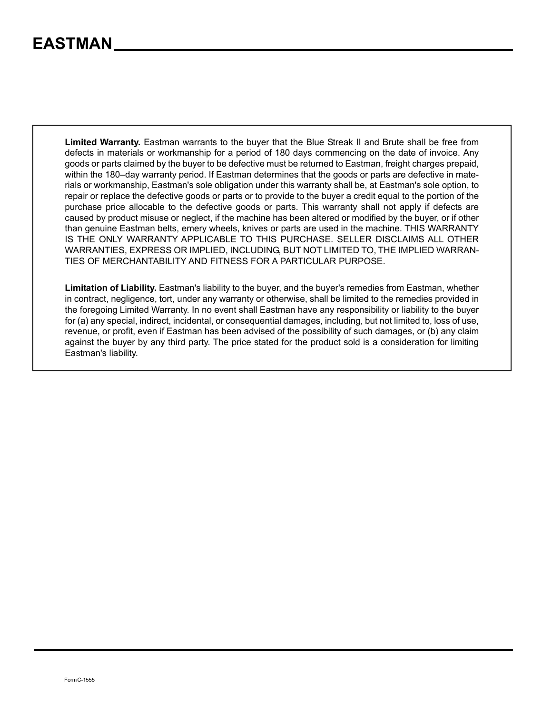**Limited Warranty.** Eastman warrants to the buyer that the Blue Streak II and Brute shall be free from defects in materials or workmanship for a period of 180 days commencing on the date of invoice. Any goods or parts claimed by the buyer to be defective must be returned to Eastman, freight charges prepaid, within the 180–day warranty period. If Eastman determines that the goods or parts are defective in materials or workmanship, Eastman's sole obligation under this warranty shall be, at Eastman's sole option, to repair or replace the defective goods or parts or to provide to the buyer a credit equal to the portion of the purchase price allocable to the defective goods or parts. This warranty shall not apply if defects are caused by product misuse or neglect, if the machine has been altered or modified by the buyer, or if other than genuine Eastman belts, emery wheels, knives or parts are used in the machine. THIS WARRANTY IS THE ONLY WARRANTY APPLICABLE TO THIS PURCHASE. SELLER DISCLAIMS ALL OTHER WARRANTIES, EXPRESS OR IMPLIED, INCLUDING, BUT NOT LIMITED TO, THE IMPLIED WARRAN-TIES OF MERCHANTABILITY AND FITNESS FOR A PARTICULAR PURPOSE.

**Limitation of Liability.** Eastman's liability to the buyer, and the buyer's remedies from Eastman, whether in contract, negligence, tort, under any warranty or otherwise, shall be limited to the remedies provided in the foregoing Limited Warranty. In no event shall Eastman have any responsibility or liability to the buyer for (a) any special, indirect, incidental, or consequential damages, including, but not limited to, loss of use, revenue, or profit, even if Eastman has been advised of the possibility of such damages, or (b) any claim against the buyer by any third party. The price stated for the product sold is a consideration for limiting Eastman's liability.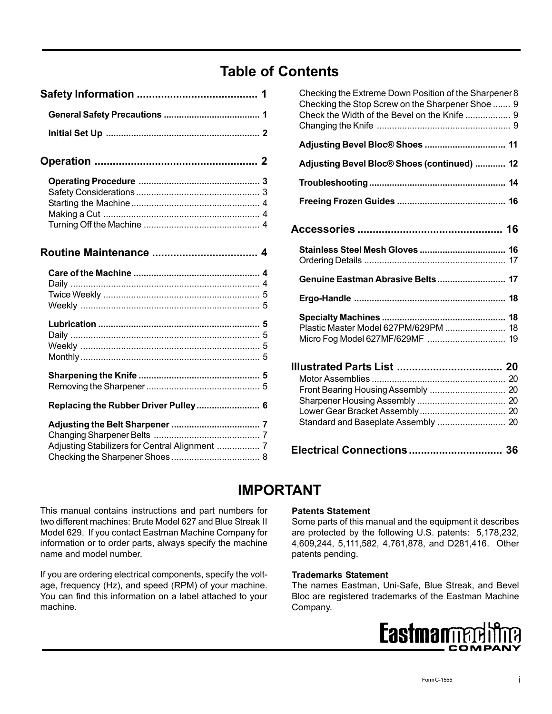## **Table of Contents**

| Replacing the Rubber Driver Pulley 6 |
|--------------------------------------|

| Checking the Extreme Down Position of the Sharpener 8<br>Checking the Stop Screw on the Sharpener Shoe  9<br>Check the Width of the Bevel on the Knife  9 |  |
|-----------------------------------------------------------------------------------------------------------------------------------------------------------|--|
| Adjusting Bevel Bloc® Shoes  11                                                                                                                           |  |
| Adjusting Bevel Bloc® Shoes (continued)  12                                                                                                               |  |
|                                                                                                                                                           |  |
|                                                                                                                                                           |  |
|                                                                                                                                                           |  |
|                                                                                                                                                           |  |
|                                                                                                                                                           |  |
|                                                                                                                                                           |  |
| Plastic Master Model 627PM/629PM  18                                                                                                                      |  |
|                                                                                                                                                           |  |
| Electrical Connections 36                                                                                                                                 |  |

## **IMPORTANT**

This manual contains instructions and part numbers for two different machines: Brute Model 627 and Blue Streak II Model 629. If you contact Eastman Machine Company for information or to order parts, always specify the machine name and model number.

If you are ordering electrical components, specify the voltage, frequency (Hz), and speed (RPM) of your machine. You can find this information on a label attached to your machine.

#### **Patents Statement**

Some parts of this manual and the equipment it describes are protected by the following U.S. patents: 5,178,232, 4,609,244, 5,111,582, 4,761,878, and D281,416. Other patents pending.

#### **Trademarks Statement**

The names Eastman, Uni-Safe, Blue Streak, and Bevel Bloc are registered trademarks of the Eastman Machine Company.

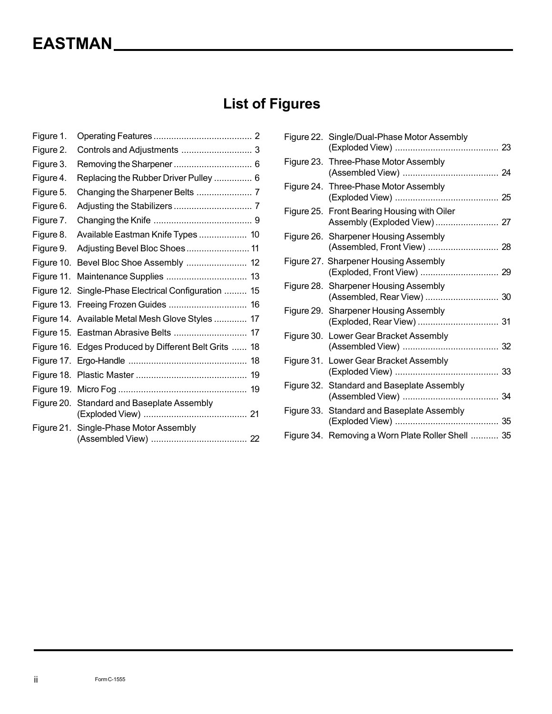# **List of Figures**

| Figure 1.  |                                                       |
|------------|-------------------------------------------------------|
| Figure 2.  |                                                       |
| Figure 3.  |                                                       |
| Figure 4.  | Replacing the Rubber Driver Pulley  6                 |
| Figure 5.  |                                                       |
| Figure 6.  |                                                       |
| Figure 7.  |                                                       |
| Figure 8.  | Available Eastman Knife Types  10                     |
| Figure 9.  | Adjusting Bevel Bloc Shoes 11                         |
| Figure 10. | Bevel Bloc Shoe Assembly  12                          |
| Figure 11. |                                                       |
| Figure 12. | Single-Phase Electrical Configuration  15             |
|            | Figure 13. Freeing Frozen Guides  16                  |
|            | Figure 14. Available Metal Mesh Glove Styles  17      |
|            |                                                       |
|            | Figure 16. Edges Produced by Different Belt Grits  18 |
|            |                                                       |
|            |                                                       |
|            |                                                       |
|            | Figure 20. Standard and Baseplate Assembly            |
|            | Figure 21. Single-Phase Motor Assembly                |

|            | Figure 22. Single/Dual-Phase Motor Assembly                          |  |
|------------|----------------------------------------------------------------------|--|
|            | Figure 23. Three-Phase Motor Assembly                                |  |
|            | Figure 24. Three-Phase Motor Assembly                                |  |
|            | Figure 25. Front Bearing Housing with Oiler                          |  |
|            | Figure 26. Sharpener Housing Assembly<br>(Assembled, Front View)  28 |  |
|            | Figure 27. Sharpener Housing Assembly                                |  |
|            | Figure 28. Sharpener Housing Assembly                                |  |
|            | Figure 29. Sharpener Housing Assembly                                |  |
| Figure 30. | Lower Gear Bracket Assembly                                          |  |
| Figure 31. | Lower Gear Bracket Assembly                                          |  |
| Figure 32. | Standard and Baseplate Assembly                                      |  |
|            | Figure 33. Standard and Baseplate Assembly                           |  |
|            | Figure 34. Removing a Worn Plate Roller Shell  35                    |  |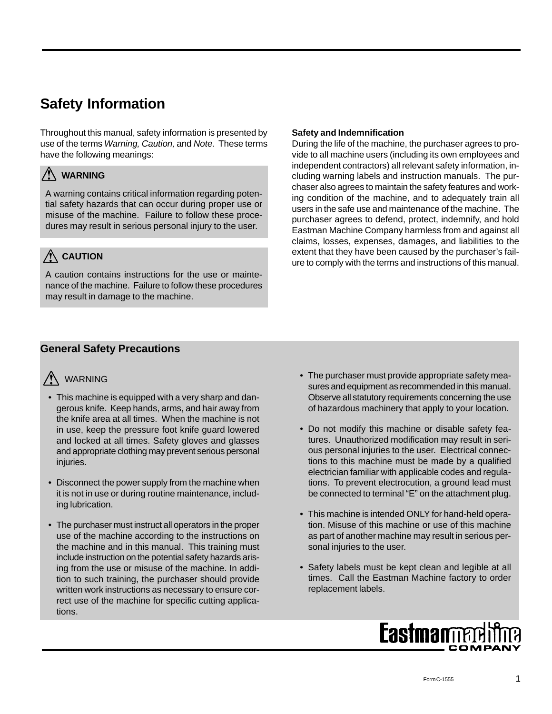## **Safety Information**

Throughout this manual, safety information is presented by use of the terms *Warning, Caution,* and *Note.* These terms have the following meanings:

## **WARNING**

A warning contains critical information regarding potential safety hazards that can occur during proper use or misuse of the machine. Failure to follow these procedures may result in serious personal injury to the user.

## **CAUTION**

A caution contains instructions for the use or maintenance of the machine. Failure to follow these procedures may result in damage to the machine.

#### **Safety and Indemnification**

During the life of the machine, the purchaser agrees to provide to all machine users (including its own employees and independent contractors) all relevant safety information, including warning labels and instruction manuals. The purchaser also agrees to maintain the safety features and working condition of the machine, and to adequately train all users in the safe use and maintenance of the machine. The purchaser agrees to defend, protect, indemnify, and hold Eastman Machine Company harmless from and against all claims, losses, expenses, damages, and liabilities to the extent that they have been caused by the purchaser's failure to comply with the terms and instructions of this manual.

### **General Safety Precautions**

## **A** warning

- This machine is equipped with a very sharp and dangerous knife. Keep hands, arms, and hair away from the knife area at all times. When the machine is not in use, keep the pressure foot knife guard lowered and locked at all times. Safety gloves and glasses and appropriate clothing may prevent serious personal injuries.
- Disconnect the power supply from the machine when it is not in use or during routine maintenance, including lubrication.
- The purchaser must instruct all operators in the proper use of the machine according to the instructions on the machine and in this manual. This training must include instruction on the potential safety hazards arising from the use or misuse of the machine. In addition to such training, the purchaser should provide written work instructions as necessary to ensure correct use of the machine for specific cutting applications.
- The purchaser must provide appropriate safety measures and equipment as recommended in this manual. Observe all statutory requirements concerning the use of hazardous machinery that apply to your location.
- Do not modify this machine or disable safety features. Unauthorized modification may result in serious personal injuries to the user. Electrical connections to this machine must be made by a qualified electrician familiar with applicable codes and regulations. To prevent electrocution, a ground lead must be connected to terminal "E" on the attachment plug.
- This machine is intended ONLY for hand-held operation. Misuse of this machine or use of this machine as part of another machine may result in serious personal injuries to the user.
- Safety labels must be kept clean and legible at all times. Call the Eastman Machine factory to order replacement labels.

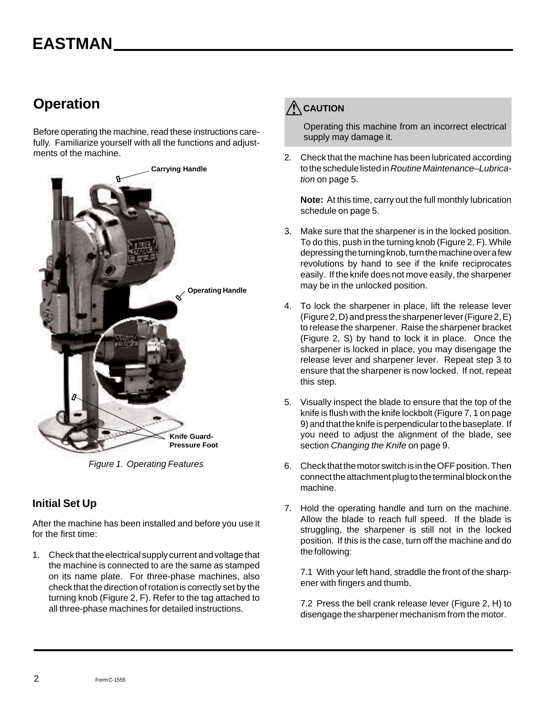## **Operation**

Before operating the machine, read these instructions carefully. Familiarize yourself with all the functions and adjustments of the machine.



*Figure 1. Operating Features*

### **Initial Set Up**

After the machine has been installed and before you use it for the first time:

1. Check that the electrical supply current and voltage that the machine is connected to are the same as stamped on its name plate. For three-phase machines, also check that the direction of rotation is correctly set by the turning knob (Figure 2, F). Refer to the tag attached to all three-phase machines for detailed instructions.



Operating this machine from an incorrect electrical supply may damage it.

2. Check that the machine has been lubricated according to the schedule listed in *Routine Maintenance–Lubrication* on page 5.

**Note:** At this time, carry out the full monthly lubrication schedule on page 5.

- 3. Make sure that the sharpener is in the locked position. To do this, push in the turning knob (Figure 2, F). While depressing the turning knob, turn the machine over a few revolutions by hand to see if the knife reciprocates easily. If the knife does not move easily, the sharpener may be in the unlocked position.
- 4. To lock the sharpener in place, lift the release lever (Figure 2, D) and press the sharpener lever (Figure 2, E) to release the sharpener. Raise the sharpener bracket (Figure 2, S) by hand to lock it in place. Once the sharpener is locked in place, you may disengage the release lever and sharpener lever. Repeat step 3 to ensure that the sharpener is now locked. If not, repeat this step.
- 5. Visually inspect the blade to ensure that the top of the knife is flush with the knife lockbolt (Figure 7, 1 on page 9) and that the knife is perpendicular to the baseplate. If you need to adjust the alignment of the blade, see section *Changing the Knife* on page 9.
- 6. Check that the motor switch is in the OFF position. Then connect the attachment plug to the terminal block on the machine.
- 7. Hold the operating handle and turn on the machine. Allow the blade to reach full speed. If the blade is struggling, the sharpener is still not in the locked position. If this is the case, turn off the machine and do the following:

7.1 With your left hand, straddle the front of the sharpener with fingers and thumb.

7.2 Press the bell crank release lever (Figure 2, H) to disengage the sharpener mechanism from the motor.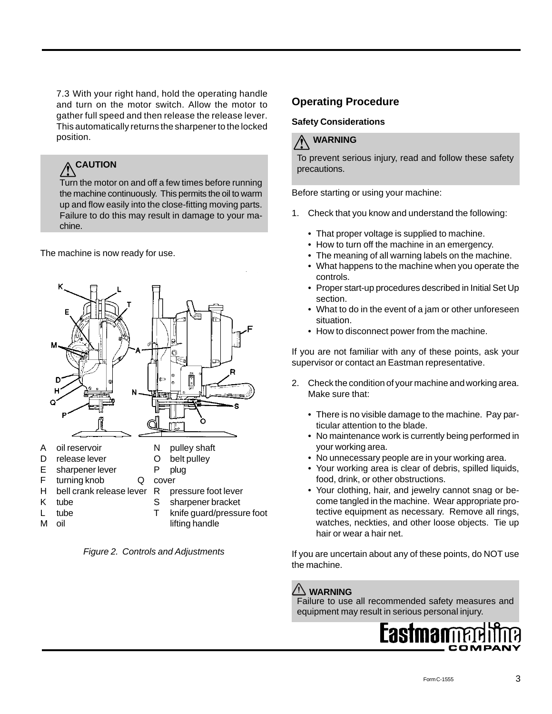7.3 With your right hand, hold the operating handle and turn on the motor switch. Allow the motor to gather full speed and then release the release lever. This automatically returns the sharpener to the locked position.

# **CAUTION**

Turn the motor on and off a few times before running the machine continuously. This permits the oil to warm up and flow easily into the close-fitting moving parts. Failure to do this may result in damage to your machine.

The machine is now ready for use.



*Figure 2. Controls and Adjustments*

### **Operating Procedure**

#### **Safety Considerations**

## **WARNING**

To prevent serious injury, read and follow these safety precautions.

Before starting or using your machine:

- 1. Check that you know and understand the following:
	- That proper voltage is supplied to machine.
	- How to turn off the machine in an emergency.
	- The meaning of all warning labels on the machine.
	- What happens to the machine when you operate the controls.
	- Proper start-up procedures described in Initial Set Up section.
	- What to do in the event of a jam or other unforeseen situation.
	- How to disconnect power from the machine.

If you are not familiar with any of these points, ask your supervisor or contact an Eastman representative.

- 2. Check the condition of your machine and working area. Make sure that:
	- There is no visible damage to the machine. Pay particular attention to the blade.
	- No maintenance work is currently being performed in your working area.
	- No unnecessary people are in your working area.
	- Your working area is clear of debris, spilled liquids, food, drink, or other obstructions.
	- Your clothing, hair, and jewelry cannot snag or become tangled in the machine. Wear appropriate protective equipment as necessary. Remove all rings, watches, neckties, and other loose objects. Tie up hair or wear a hair net.

If you are uncertain about any of these points, do NOT use the machine.

## **WARNING**

Failure to use all recommended safety measures and equipment may result in serious personal injury.

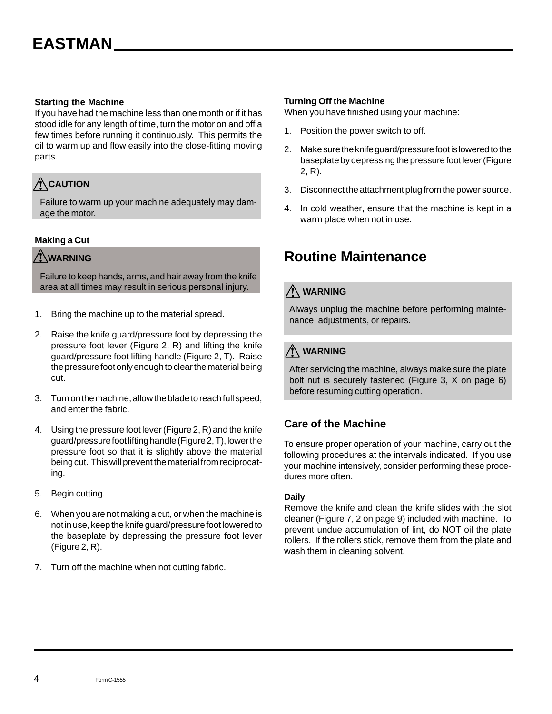#### **Starting the Machine**

If you have had the machine less than one month or if it has stood idle for any length of time, turn the motor on and off a few times before running it continuously. This permits the oil to warm up and flow easily into the close-fitting moving parts.

## **CAUTION**

Failure to warm up your machine adequately may damage the motor.

#### **Making a Cut**

### **WARNING**

Failure to keep hands, arms, and hair away from the knife area at all times may result in serious personal injury.

- 1. Bring the machine up to the material spread.
- 2. Raise the knife guard/pressure foot by depressing the pressure foot lever (Figure 2, R) and lifting the knife guard/pressure foot lifting handle (Figure 2, T). Raise the pressure foot only enough to clear the material being cut.
- 3. Turn on the machine, allow the blade to reach full speed, and enter the fabric.
- 4. Using the pressure foot lever (Figure 2, R) and the knife guard/pressure foot lifting handle (Figure 2, T), lower the pressure foot so that it is slightly above the material being cut. This will prevent the material from reciprocating.
- 5. Begin cutting.
- 6. When you are not making a cut, or when the machine is not in use, keep the knife guard/pressure foot lowered to the baseplate by depressing the pressure foot lever (Figure 2, R).
- 7. Turn off the machine when not cutting fabric.

#### **Turning Off the Machine**

When you have finished using your machine:

- 1. Position the power switch to off.
- 2. Make sure the knife guard/pressure foot is lowered to the baseplate by depressing the pressure foot lever (Figure 2, R).
- 3. Disconnect the attachment plug from the power source.
- 4. In cold weather, ensure that the machine is kept in a warm place when not in use.

## **Routine Maintenance**

## **WARNING**

Always unplug the machine before performing maintenance, adjustments, or repairs.

## **WARNING**

After servicing the machine, always make sure the plate bolt nut is securely fastened (Figure 3, X on page 6) before resuming cutting operation.

### **Care of the Machine**

To ensure proper operation of your machine, carry out the following procedures at the intervals indicated. If you use your machine intensively, consider performing these procedures more often.

#### **Daily**

Remove the knife and clean the knife slides with the slot cleaner (Figure 7, 2 on page 9) included with machine. To prevent undue accumulation of lint, do NOT oil the plate rollers. If the rollers stick, remove them from the plate and wash them in cleaning solvent.

4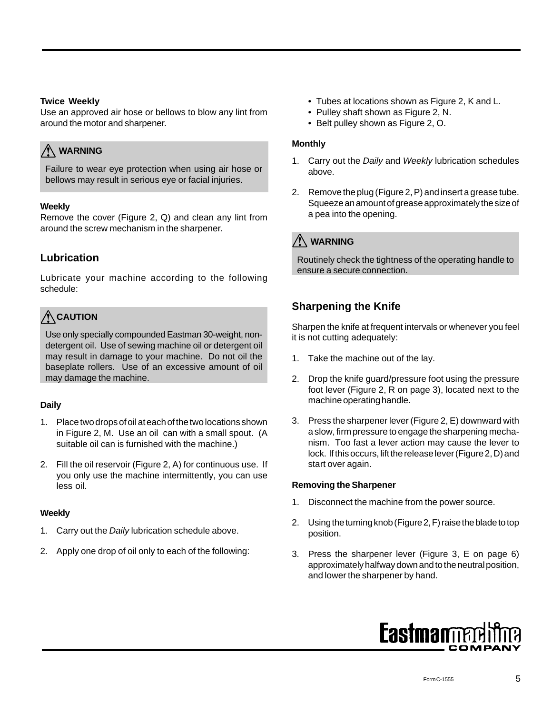#### **Twice Weekly**

Use an approved air hose or bellows to blow any lint from around the motor and sharpener.

## **WARNING**

Failure to wear eye protection when using air hose or bellows may result in serious eye or facial injuries.

#### **Weekly**

Remove the cover (Figure 2, Q) and clean any lint from around the screw mechanism in the sharpener.

### **Lubrication**

Lubricate your machine according to the following schedule:

## **CAUTION**

Use only specially compounded Eastman 30-weight, nondetergent oil. Use of sewing machine oil or detergent oil may result in damage to your machine. Do not oil the baseplate rollers. Use of an excessive amount of oil may damage the machine.

#### **Daily**

- 1. Place two drops of oil at each of the two locations shown in Figure 2, M. Use an oil can with a small spout. (A suitable oil can is furnished with the machine.)
- 2. Fill the oil reservoir (Figure 2, A) for continuous use. If you only use the machine intermittently, you can use less oil.

#### **Weekly**

- 1. Carry out the *Daily* lubrication schedule above.
- 2. Apply one drop of oil only to each of the following:
- Tubes at locations shown as Figure 2, K and L.
- Pulley shaft shown as Figure 2, N.
- Belt pulley shown as Figure 2, O.

#### **Monthly**

- 1. Carry out the *Daily* and *Weekly* lubrication schedules above.
- 2. Remove the plug (Figure 2, P) and insert a grease tube. Squeeze an amount of grease approximately the size of a pea into the opening.

## **WARNING**

Routinely check the tightness of the operating handle to ensure a secure connection.

### **Sharpening the Knife**

Sharpen the knife at frequent intervals or whenever you feel it is not cutting adequately:

- 1. Take the machine out of the lay.
- 2. Drop the knife guard/pressure foot using the pressure foot lever (Figure 2, R on page 3), located next to the machine operating handle.
- 3. Press the sharpener lever (Figure 2, E) downward with a slow, firm pressure to engage the sharpening mechanism. Too fast a lever action may cause the lever to lock. If this occurs, lift the release lever (Figure 2, D) and start over again.

#### **Removing the Sharpener**

- 1. Disconnect the machine from the power source.
- 2. Using the turning knob (Figure 2, F) raise the blade to top position.
- 3. Press the sharpener lever (Figure 3, E on page 6) approximately halfway down and to the neutral position, and lower the sharpener by hand.

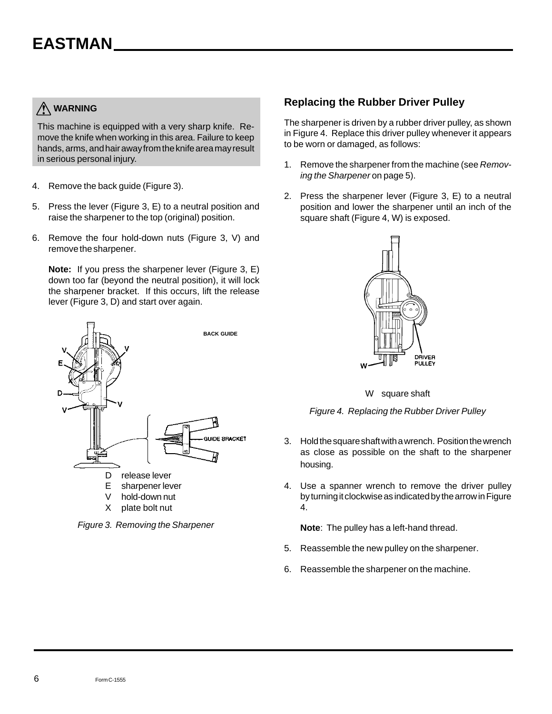## **WARNING**

This machine is equipped with a very sharp knife. Remove the knife when working in this area. Failure to keep hands, arms, and hair away from the knife area may result in serious personal injury.

- 4. Remove the back guide (Figure 3).
- 5. Press the lever (Figure 3, E) to a neutral position and raise the sharpener to the top (original) position.
- 6. Remove the four hold-down nuts (Figure 3, V) and remove the sharpener.

**Note:** If you press the sharpener lever (Figure 3, E) down too far (beyond the neutral position), it will lock the sharpener bracket. If this occurs, lift the release lever (Figure 3, D) and start over again.



*Figure 3. Removing the Sharpener*

### **Replacing the Rubber Driver Pulley**

The sharpener is driven by a rubber driver pulley, as shown in Figure 4. Replace this driver pulley whenever it appears to be worn or damaged, as follows:

- 1. Remove the sharpener from the machine (see *Removing the Sharpener* on page 5).
- 2. Press the sharpener lever (Figure 3, E) to a neutral position and lower the sharpener until an inch of the square shaft (Figure 4, W) is exposed.



W square shaft

*Figure 4. Replacing the Rubber Driver Pulley*

- 3. Hold the square shaft with a wrench. Position the wrench as close as possible on the shaft to the sharpener housing.
- 4. Use a spanner wrench to remove the driver pulley by turning it clockwise as indicated by the arrow in Figure 4.

**Note**: The pulley has a left-hand thread.

- 5. Reassemble the new pulley on the sharpener.
- 6. Reassemble the sharpener on the machine.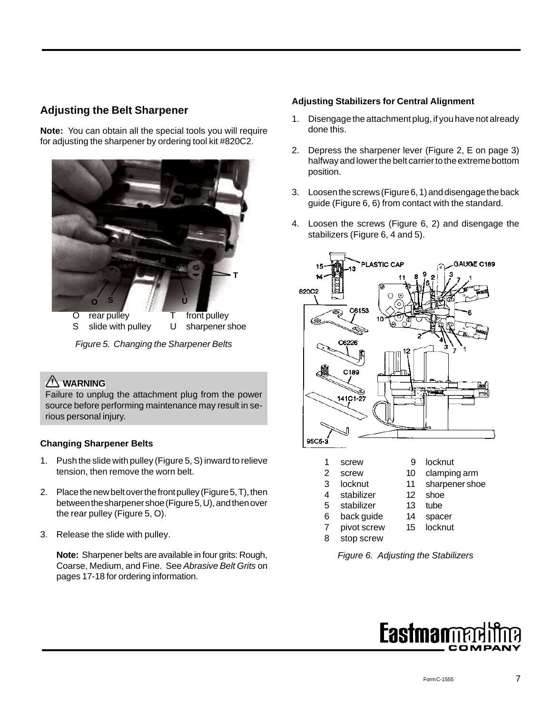### **Adjusting the Belt Sharpener**

**Note:** You can obtain all the special tools you will require for adjusting the sharpener by ordering tool kit #820C2.



*Figure 5. Changing the Sharpener Belts*

## **WARNING**

Failure to unplug the attachment plug from the power source before performing maintenance may result in serious personal injury.

#### **Changing Sharpener Belts**

- 1. Push the slide with pulley (Figure 5, S) inward to relieve tension, then remove the worn belt.
- 2. Place the new belt over the front pulley (Figure 5, T), then between the sharpener shoe (Figure 5, U), and then over the rear pulley (Figure 5, O).
- 3. Release the slide with pulley.

**Note:** Sharpener belts are available in four grits: Rough, Coarse, Medium, and Fine. See *Abrasive Belt Grits* on pages 17-18 for ordering information.

#### **Adjusting Stabilizers for Central Alignment**

- 1. Disengage the attachment plug, if you have not already done this.
- 2. Depress the sharpener lever (Figure 2, E on page 3) halfway and lower the belt carrier to the extreme bottom position.
- 3. Loosen the screws (Figure 6, 1) and disengage the back guide (Figure 6, 6) from contact with the standard.
- 4. Loosen the screws (Figure 6, 2) and disengage the stabilizers (Figure 6, 4 and 5).



- 6 back guide 14 spacer
- 7 pivot screw 15 locknut
- 8 stop screw

*Figure 6. Adjusting the Stabilizers*

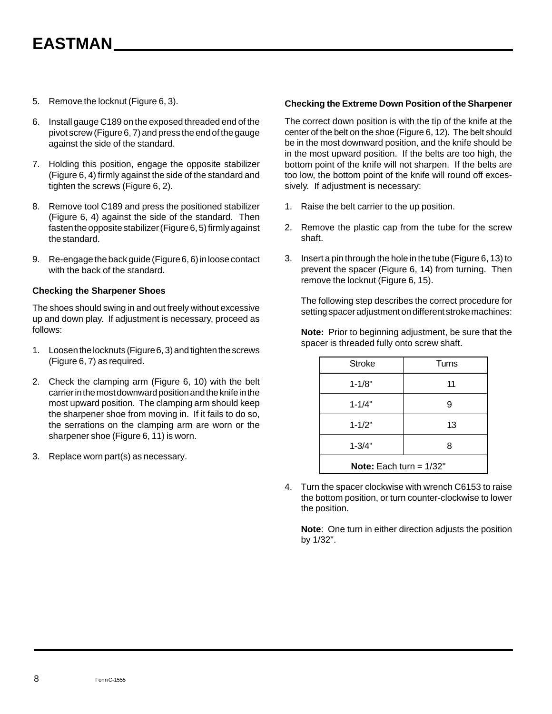- 5. Remove the locknut (Figure 6, 3).
- 6. Install gauge C189 on the exposed threaded end of the pivot screw (Figure 6, 7) and press the end of the gauge against the side of the standard.
- 7. Holding this position, engage the opposite stabilizer (Figure 6, 4) firmly against the side of the standard and tighten the screws (Figure 6, 2).
- 8. Remove tool C189 and press the positioned stabilizer (Figure 6, 4) against the side of the standard. Then fasten the opposite stabilizer (Figure 6, 5) firmly against the standard.
- 9. Re-engage the back guide (Figure 6, 6) in loose contact with the back of the standard.

#### **Checking the Sharpener Shoes**

The shoes should swing in and out freely without excessive up and down play. If adjustment is necessary, proceed as follows:

- 1. Loosen the locknuts (Figure 6, 3) and tighten the screws (Figure 6, 7) as required.
- 2. Check the clamping arm (Figure 6, 10) with the belt carrier in the most downward position and the knife in the most upward position. The clamping arm should keep the sharpener shoe from moving in. If it fails to do so, the serrations on the clamping arm are worn or the sharpener shoe (Figure 6, 11) is worn.
- 3. Replace worn part(s) as necessary.

#### **Checking the Extreme Down Position of the Sharpener**

The correct down position is with the tip of the knife at the center of the belt on the shoe (Figure 6, 12). The belt should be in the most downward position, and the knife should be in the most upward position. If the belts are too high, the bottom point of the knife will not sharpen. If the belts are too low, the bottom point of the knife will round off excessively. If adjustment is necessary:

- 1. Raise the belt carrier to the up position.
- 2. Remove the plastic cap from the tube for the screw shaft.
- 3. Insert a pin through the hole in the tube (Figure 6, 13) to prevent the spacer (Figure 6, 14) from turning. Then remove the locknut (Figure 6, 15).

The following step describes the correct procedure for setting spacer adjustment on different stroke machines:

**Note:** Prior to beginning adjustment, be sure that the spacer is threaded fully onto screw shaft.

| <b>Stroke</b>                    | Turns |  |
|----------------------------------|-------|--|
| $1 - 1/8"$                       | 11    |  |
| $1 - 1/4"$                       | 9     |  |
| $1 - 1/2"$                       | 13    |  |
| $1 - 3/4"$<br>8                  |       |  |
| <b>Note:</b> Each turn = $1/32"$ |       |  |

4. Turn the spacer clockwise with wrench C6153 to raise the bottom position, or turn counter-clockwise to lower the position.

**Note**: One turn in either direction adjusts the position by 1/32".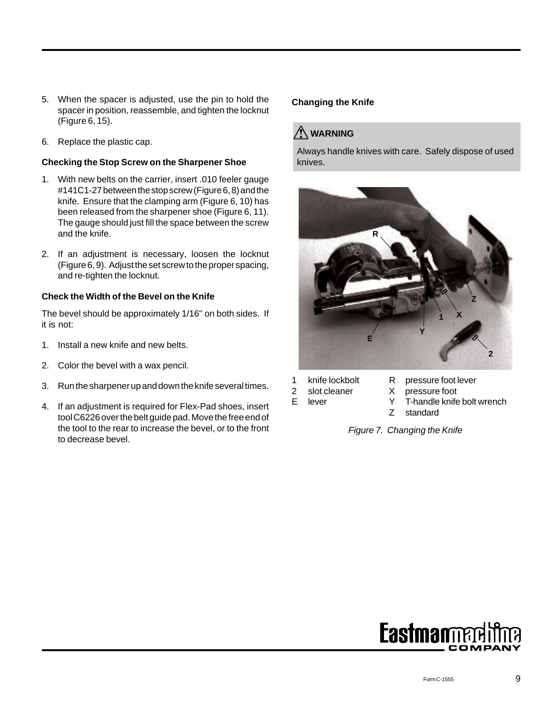- 5. When the spacer is adjusted, use the pin to hold the spacer in position, reassemble, and tighten the locknut (Figure 6, 15).
- 6. Replace the plastic cap.

#### **Checking the Stop Screw on the Sharpener Shoe**

- 1. With new belts on the carrier, insert .010 feeler gauge #141C1-27 between the stop screw (Figure 6, 8) and the knife. Ensure that the clamping arm (Figure 6, 10) has been released from the sharpener shoe (Figure 6, 11). The gauge should just fill the space between the screw and the knife.
- 2. If an adjustment is necessary, loosen the locknut (Figure 6, 9). Adjust the set screw to the proper spacing, and re-tighten the locknut.

#### **Check the Width of the Bevel on the Knife**

The bevel should be approximately 1/16" on both sides. If it is not:

- 1. Install a new knife and new belts.
- 2. Color the bevel with a wax pencil.
- 3. Run the sharpener up and down the knife several times.
- 4. If an adjustment is required for Flex-Pad shoes, insert tool C6226 over the belt guide pad. Move the free end of the tool to the rear to increase the bevel, or to the front to decrease bevel.

#### **Changing the Knife**

## **WARNING**

Always handle knives with care. Safely dispose of used knives.



- -
- 
- 1 knife lockbolt R pressure foot lever
- 2 slot cleaner X pressure foot<br>E lever Y T-handle knife
	- E lever Y T-handle knife bolt wrench
		- Z standard

*Figure 7. Changing the Knife*

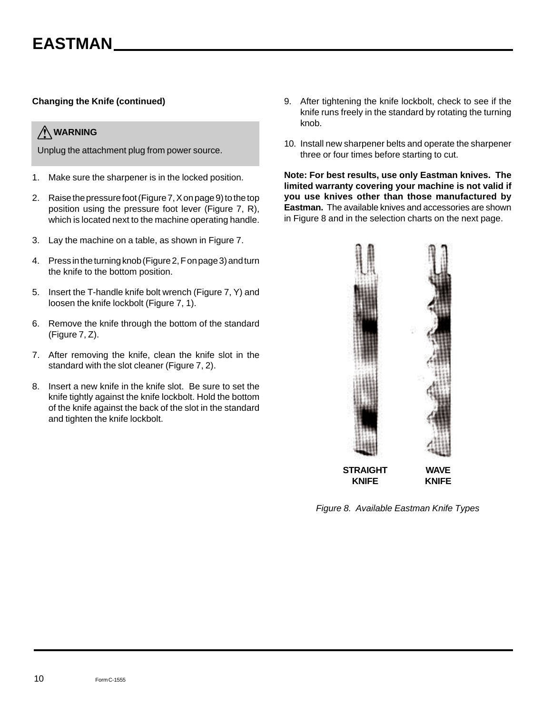#### **Changing the Knife (continued)**

### **WARNING**

Unplug the attachment plug from power source.

- 1. Make sure the sharpener is in the locked position.
- 2. Raise the pressure foot (Figure 7, X on page 9) to the top position using the pressure foot lever (Figure 7, R), which is located next to the machine operating handle.
- 3. Lay the machine on a table, as shown in Figure 7.
- 4. Press in the turning knob (Figure 2, F on page 3) and turn the knife to the bottom position.
- 5. Insert the T-handle knife bolt wrench (Figure 7, Y) and loosen the knife lockbolt (Figure 7, 1).
- 6. Remove the knife through the bottom of the standard (Figure 7, Z).
- 7. After removing the knife, clean the knife slot in the standard with the slot cleaner (Figure 7, 2).
- 8. Insert a new knife in the knife slot. Be sure to set the knife tightly against the knife lockbolt. Hold the bottom of the knife against the back of the slot in the standard and tighten the knife lockbolt.
- 9. After tightening the knife lockbolt, check to see if the knife runs freely in the standard by rotating the turning knob.
- 10. Install new sharpener belts and operate the sharpener three or four times before starting to cut.

**Note: For best results, use only Eastman knives. The limited warranty covering your machine is not valid if you use knives other than those manufactured by Eastman.** The available knives and accessories are shown in Figure 8 and in the selection charts on the next page.



*Figure 8. Available Eastman Knife Types*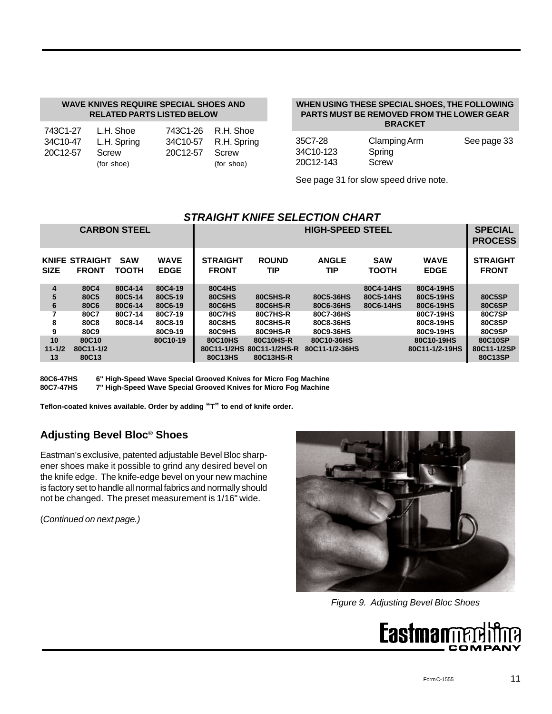#### **WAVE KNIVES REQUIRE SPECIAL SHOES AND RELATED PARTS LISTED BELOW**

| 743C1-27 | L.H. Shoe   | 743C1-26 R.H. Shoe   |            |
|----------|-------------|----------------------|------------|
| 34C10-47 | L.H. Spring | 34C10-57 R.H. Spring |            |
| 20C12-57 | Screw       | 20C12-57 Screw       |            |
|          | (for shoe)  |                      | (for shoe) |

#### **WHEN USING THESE SPECIAL SHOES, THE FOLLOWING PARTS MUST BE REMOVED FROM THE LOWER GEAR BRACKET**

| 35C7-28   | Clamping Arm | See page 33 |
|-----------|--------------|-------------|
| 34C10-123 | Spring       |             |
| 20C12-143 | Screw        |             |

See page 31 for slow speed drive note.

#### *STRAIGHT KNIFE SELECTION CHART*

|                                             |                                                          | <b>CARBON STEEL</b>                                 |                                                                |                                                                        |                                                          | <b>HIGH-SPEED STEEL</b>                                       |                                     |                                                                            | <b>SPECIAL</b><br><b>PROCESS</b>                      |
|---------------------------------------------|----------------------------------------------------------|-----------------------------------------------------|----------------------------------------------------------------|------------------------------------------------------------------------|----------------------------------------------------------|---------------------------------------------------------------|-------------------------------------|----------------------------------------------------------------------------|-------------------------------------------------------|
| <b>SIZE</b>                                 | <b>KNIFE STRAIGHT</b><br><b>FRONT</b>                    | <b>SAW</b><br><b>TOOTH</b>                          | <b>WAVE</b><br><b>EDGE</b>                                     | <b>STRAIGHT</b><br><b>FRONT</b>                                        | <b>ROUND</b><br>TIP                                      | <b>ANGLE</b><br>TIP                                           | <b>SAW</b><br>ТООТН                 | <b>WAVE</b><br><b>EDGE</b>                                                 | <b>STRAIGHT</b><br><b>FRONT</b>                       |
| $\overline{\mathbf{4}}$<br>5<br>6<br>8<br>9 | 80C4<br>80C <sub>5</sub><br>80C6<br>80C7<br>80C8<br>80C9 | 80C4-14<br>80C5-14<br>80C6-14<br>80C7-14<br>80C8-14 | 80C4-19<br>80C5-19<br>80C6-19<br>80C7-19<br>80C8-19<br>80C9-19 | <b>80C4HS</b><br>80C5HS<br>80C6HS<br><b>80C7HS</b><br>80C8HS<br>80C9HS | 80C5HS-R<br>80C6HS-R<br>80C7HS-R<br>80C8HS-R<br>80C9HS-R | 80C5-36HS<br>80C6-36HS<br>80C7-36HS<br>80C8-36HS<br>80C9-36HS | 80C4-14HS<br>80C5-14HS<br>80C6-14HS | 80C4-19HS<br>80C5-19HS<br>80C6-19HS<br>80C7-19HS<br>80C8-19HS<br>80C9-19HS | 80C5SP<br>80C6SP<br><b>80C7SP</b><br>80C8SP<br>80C9SP |
| 10<br>$11 - 1/2$<br>13                      | 80C <sub>10</sub><br>80C11-1/2<br>80C13                  |                                                     | 80C10-19                                                       | 80C10HS<br>80C13HS                                                     | 80C10HS-R<br>80C11-1/2HS 80C11-1/2HS-R<br>80C13HS-R      | 80C10-36HS<br>80C11-1/2-36HS                                  |                                     | 80C10-19HS<br>80C11-1/2-19HS                                               | 80C10SP<br>80C11-1/2SP<br>80C13SP                     |

**80C6-47HS 6" High-Speed Wave Special Grooved Knives for Micro Fog Machine 7" High-Speed Wave Special Grooved Knives for Micro Fog Machine** 

**Teflon-coated knives available. Order by adding "T" to end of knife order.**

### **Adjusting Bevel Bloc® Shoes**

Eastman's exclusive, patented adjustable Bevel Bloc sharpener shoes make it possible to grind any desired bevel on the knife edge. The knife-edge bevel on your new machine is factory set to handle all normal fabrics and normally should not be changed. The preset measurement is 1/16" wide.

(*Continued on next page.)*



*Figure 9. Adjusting Bevel Bloc Shoes*

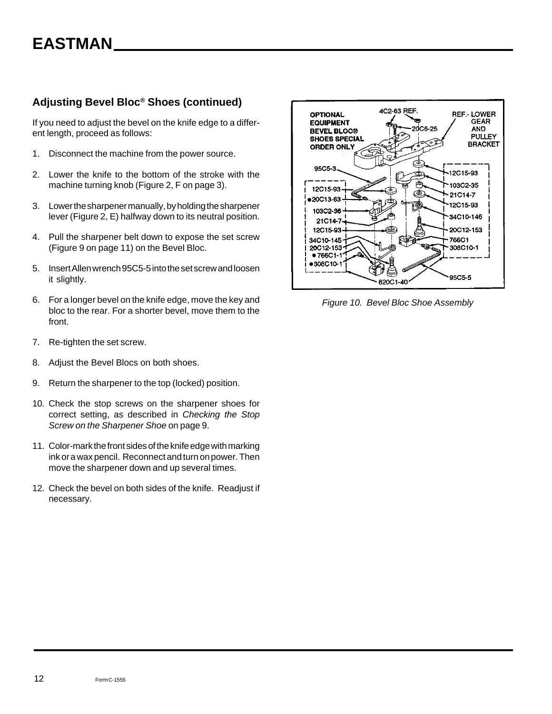### **Adjusting Bevel Bloc® Shoes (continued)**

If you need to adjust the bevel on the knife edge to a different length, proceed as follows:

- 1. Disconnect the machine from the power source.
- 2. Lower the knife to the bottom of the stroke with the machine turning knob (Figure 2, F on page 3).
- 3. Lower the sharpener manually, by holding the sharpener lever (Figure 2, E) halfway down to its neutral position.
- 4. Pull the sharpener belt down to expose the set screw (Figure 9 on page 11) on the Bevel Bloc.
- 5. Insert Allen wrench 95C5-5 into the set screw and loosen it slightly.
- 6. For a longer bevel on the knife edge, move the key and bloc to the rear. For a shorter bevel, move them to the front.
- 7. Re-tighten the set screw.
- 8. Adjust the Bevel Blocs on both shoes.
- 9. Return the sharpener to the top (locked) position.
- 10. Check the stop screws on the sharpener shoes for correct setting, as described in *Checking the Stop Screw on the Sharpener Shoe* on page 9.
- 11. Color-mark the front sides of the knife edge with marking ink or a wax pencil. Reconnect and turn on power. Then move the sharpener down and up several times.
- 12. Check the bevel on both sides of the knife. Readjust if necessary.



*Figure 10. Bevel Bloc Shoe Assembly*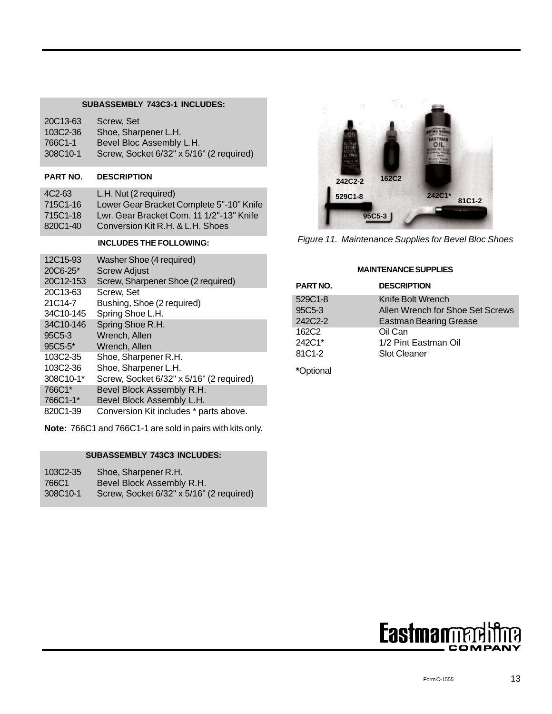#### **SUBASSEMBLY 743C3-1 INCLUDES:**

| 20C13-63 | Screw. Set                               |
|----------|------------------------------------------|
| 103C2-36 | Shoe, Sharpener L.H.                     |
| 766C1-1  | Bevel Bloc Assembly L.H.                 |
| 308C10-1 | Screw, Socket 6/32" x 5/16" (2 required) |

#### **PART NO. DESCRIPTION**

| 4C <sub>2</sub> -63 | L.H. Nut (2 required)                    |
|---------------------|------------------------------------------|
| 715C1-16            | Lower Gear Bracket Complete 5"-10" Knife |
| 715C1-18            | Lwr. Gear Bracket Com. 11 1/2"-13" Knife |
| 820C1-40            | Conversion Kit R.H. & L.H. Shoes         |

#### **INCLUDES THE FOLLOWING:**

| 12C15-93  | Washer Shoe (4 required)                 |
|-----------|------------------------------------------|
| 20C6-25*  | <b>Screw Adjust</b>                      |
| 20C12-153 | Screw, Sharpener Shoe (2 required)       |
| 20C13-63  | Screw. Set                               |
| 21C14-7   | Bushing, Shoe (2 required)               |
| 34C10-145 | Spring Shoe L.H.                         |
| 34C10-146 | Spring Shoe R.H.                         |
| 95C5-3    | Wrench, Allen                            |
| 95C5-5*   | Wrench, Allen                            |
| 103C2-35  | Shoe, Sharpener R.H.                     |
| 103C2-36  | Shoe, Sharpener L.H.                     |
| 308C10-1* | Screw, Socket 6/32" x 5/16" (2 required) |
| 766C1*    | Bevel Block Assembly R.H.                |
| 766C1-1*  | Bevel Block Assembly L.H.                |
| 820C1-39  | Conversion Kit includes * parts above.   |

**Note:** 766C1 and 766C1-1 are sold in pairs with kits only.

#### **SUBASSEMBLY 743C3 INCLUDES:**

| 103C2-35 | Shoe, Sharpener R.H.                     |
|----------|------------------------------------------|
| 766C1    | Bevel Block Assembly R.H.                |
| 308C10-1 | Screw, Socket 6/32" x 5/16" (2 required) |



*Figure 11. Maintenance Supplies for Bevel Bloc Shoes*

#### **MAINTENANCE SUPPLIES**

| PART NO.          | <b>DESCRIPTION</b>                                                |
|-------------------|-------------------------------------------------------------------|
| 529C1-8           | Knife Bolt Wrench                                                 |
| 95C5-3<br>242C2-2 | Allen Wrench for Shoe Set Screws<br><b>Eastman Bearing Grease</b> |
| 162C <sub>2</sub> | Oil Can                                                           |
| 242C1*            | 1/2 Pint Eastman Oil                                              |
| 81C1-2            | <b>Slot Cleaner</b>                                               |

**\***Optional

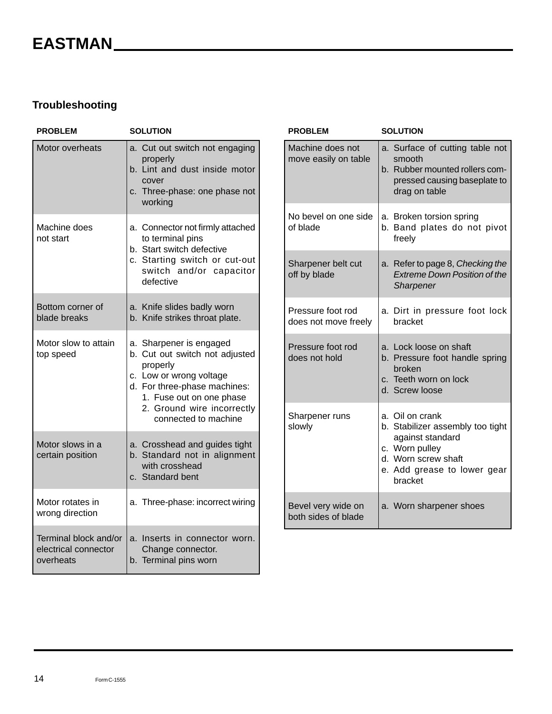### **Troubleshooting**

| <b>PROBLEM</b>                                             | <b>SOLUTION</b>                                                                                                                                                                                                    |  |  |
|------------------------------------------------------------|--------------------------------------------------------------------------------------------------------------------------------------------------------------------------------------------------------------------|--|--|
| Motor overheats                                            | a. Cut out switch not engaging<br>properly<br>b. Lint and dust inside motor<br>cover<br>c. Three-phase: one phase not<br>working                                                                                   |  |  |
| Machine does<br>not start                                  | a. Connector not firmly attached<br>to terminal pins<br>b. Start switch defective<br>c. Starting switch or cut-out<br>switch and/or capacitor<br>defective                                                         |  |  |
| Bottom corner of<br>blade breaks                           | a. Knife slides badly worn<br>b. Knife strikes throat plate.                                                                                                                                                       |  |  |
| Motor slow to attain<br>top speed                          | a. Sharpener is engaged<br>b. Cut out switch not adjusted<br>properly<br>c. Low or wrong voltage<br>d. For three-phase machines:<br>1. Fuse out on one phase<br>2. Ground wire incorrectly<br>connected to machine |  |  |
| Motor slows in a<br>certain position                       | a. Crosshead and guides tight<br>b. Standard not in alignment<br>with crosshead<br>c. Standard bent                                                                                                                |  |  |
| Motor rotates in<br>wrong direction                        | a. Three-phase: incorrect wiring                                                                                                                                                                                   |  |  |
| Terminal block and/or<br>electrical connector<br>overheats | Inserts in connector worn.<br>a.<br>Change connector.<br>b. Terminal pins worn                                                                                                                                     |  |  |

| <b>PROBLEM</b>                            | <b>SOLUTION</b>                                                                                                                                            |
|-------------------------------------------|------------------------------------------------------------------------------------------------------------------------------------------------------------|
| Machine does not<br>move easily on table  | a. Surface of cutting table not<br>smooth<br>b. Rubber mounted rollers com-<br>pressed causing baseplate to<br>drag on table                               |
| No bevel on one side<br>of blade          | a. Broken torsion spring<br>b. Band plates do not pivot<br>freely                                                                                          |
| Sharpener belt cut<br>off by blade        | a. Refer to page 8, Checking the<br><b>Extreme Down Position of the</b><br>Sharpener                                                                       |
| Pressure foot rod<br>does not move freely | a. Dirt in pressure foot lock<br>bracket                                                                                                                   |
| Pressure foot rod<br>does not hold        | a. Lock loose on shaft<br>b. Pressure foot handle spring<br>broken<br>c. Teeth worn on lock<br>d. Screw loose                                              |
| Sharpener runs<br>slowly                  | a. Oil on crank<br>b. Stabilizer assembly too tight<br>against standard<br>c. Worn pulley<br>d. Worn screw shaft<br>e. Add grease to lower gear<br>bracket |
| Bevel very wide on<br>both sides of blade | a. Worn sharpener shoes                                                                                                                                    |

14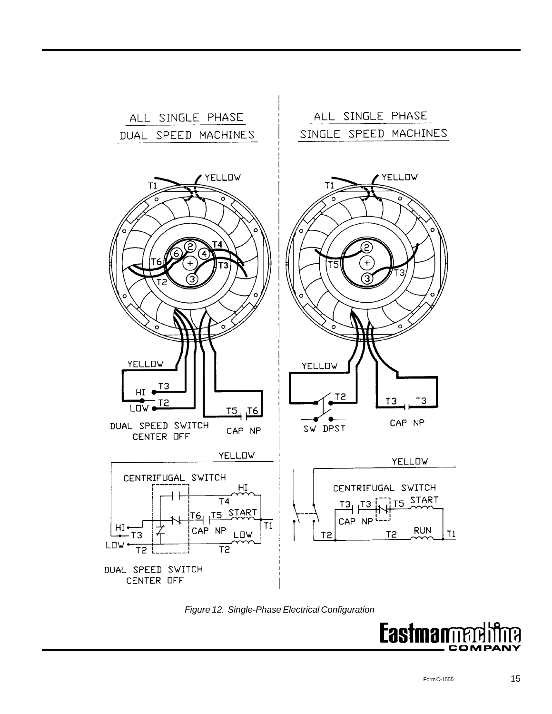

*Figure 12. Single-Phase Electrical Configuration*

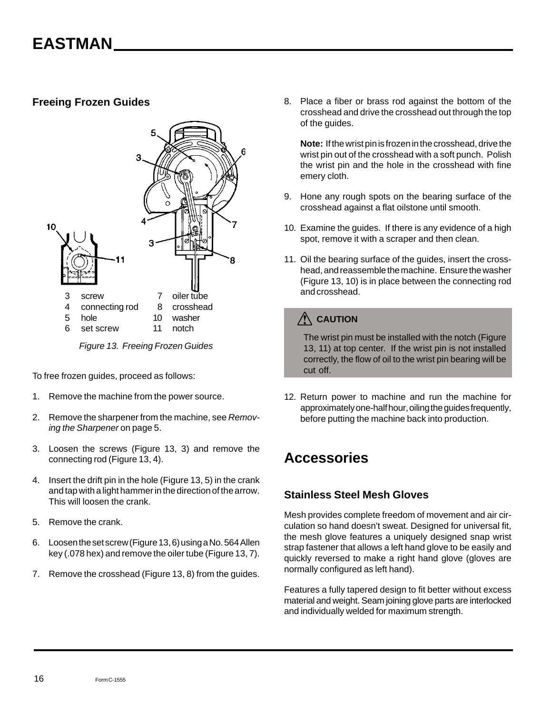### **Freeing Frozen Guides**



*Figure 13. Freeing Frozen Guides*

To free frozen guides, proceed as follows:

- 1. Remove the machine from the power source.
- 2. Remove the sharpener from the machine, see *Removing the Sharpener* on page 5.
- 3. Loosen the screws (Figure 13, 3) and remove the connecting rod (Figure 13, 4).
- 4. Insert the drift pin in the hole (Figure 13, 5) in the crank and tap with a light hammer in the direction of the arrow. This will loosen the crank.
- 5. Remove the crank.
- 6. Loosen the set screw (Figure 13, 6) using a No. 564 Allen key (.078 hex) and remove the oiler tube (Figure 13, 7).
- 7. Remove the crosshead (Figure 13, 8) from the guides.

8. Place a fiber or brass rod against the bottom of the crosshead and drive the crosshead out through the top of the guides.

**Note:** If the wrist pin is frozen in the crosshead, drive the wrist pin out of the crosshead with a soft punch. Polish the wrist pin and the hole in the crosshead with fine emery cloth.

- 9. Hone any rough spots on the bearing surface of the crosshead against a flat oilstone until smooth.
- 10. Examine the guides. If there is any evidence of a high spot, remove it with a scraper and then clean.
- 11. Oil the bearing surface of the guides, insert the crosshead, and reassemble the machine. Ensure the washer (Figure 13, 10) is in place between the connecting rod and crosshead.

## **CAUTION**

The wrist pin must be installed with the notch (Figure 13, 11) at top center. If the wrist pin is not installed correctly, the flow of oil to the wrist pin bearing will be cut off.

12. Return power to machine and run the machine for approximately one-half hour, oiling the guides frequently, before putting the machine back into production.

## **Accessories**

### **Stainless Steel Mesh Gloves**

Mesh provides complete freedom of movement and air circulation so hand doesn't sweat. Designed for universal fit, the mesh glove features a uniquely designed snap wrist strap fastener that allows a left hand glove to be easily and quickly reversed to make a right hand glove (gloves are normally configured as left hand).

Features a fully tapered design to fit better without excess material and weight. Seam joining glove parts are interlocked and individually welded for maximum strength.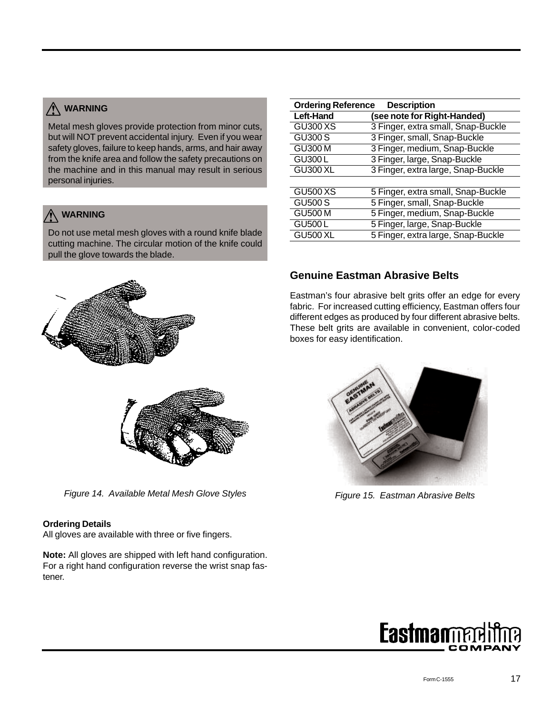## **WARNING**

Metal mesh gloves provide protection from minor cuts, but will NOT prevent accidental injury. Even if you wear safety gloves, failure to keep hands, arms, and hair away from the knife area and follow the safety precautions on the machine and in this manual may result in serious personal injuries.

## **WARNING**

Do not use metal mesh gloves with a round knife blade cutting machine. The circular motion of the knife could pull the glove towards the blade.



| <b>Ordering Reference</b><br><b>Description</b> |                                    |  |
|-------------------------------------------------|------------------------------------|--|
| <b>Left-Hand</b>                                | (see note for Right-Handed)        |  |
| <b>GU300 XS</b>                                 | 3 Finger, extra small, Snap-Buckle |  |
| <b>GU300 S</b>                                  | 3 Finger, small, Snap-Buckle       |  |
| <b>GU300 M</b>                                  | 3 Finger, medium, Snap-Buckle      |  |
| <b>GU300L</b>                                   | 3 Finger, large, Snap-Buckle       |  |
| <b>GU300 XL</b>                                 | 3 Finger, extra large, Snap-Buckle |  |
|                                                 |                                    |  |
| <b>GU500 XS</b>                                 | 5 Finger, extra small, Snap-Buckle |  |
| <b>GU500 S</b>                                  | 5 Finger, small, Snap-Buckle       |  |
| <b>GU500 M</b>                                  | 5 Finger, medium, Snap-Buckle      |  |
| GU500L                                          | 5 Finger, large, Snap-Buckle       |  |
| <b>GU500 XL</b>                                 | 5 Finger, extra large, Snap-Buckle |  |

### **Genuine Eastman Abrasive Belts**

Eastman's four abrasive belt grits offer an edge for every fabric. For increased cutting efficiency, Eastman offers four different edges as produced by four different abrasive belts. These belt grits are available in convenient, color-coded boxes for easy identification.



*Figure 15. Eastman Abrasive Belts*











*Figure 14. Available Metal Mesh Glove Styles*

### **Ordering Details**

All gloves are available with three or five fingers.

**Note:** All gloves are shipped with left hand configuration. For a right hand configuration reverse the wrist snap fastener.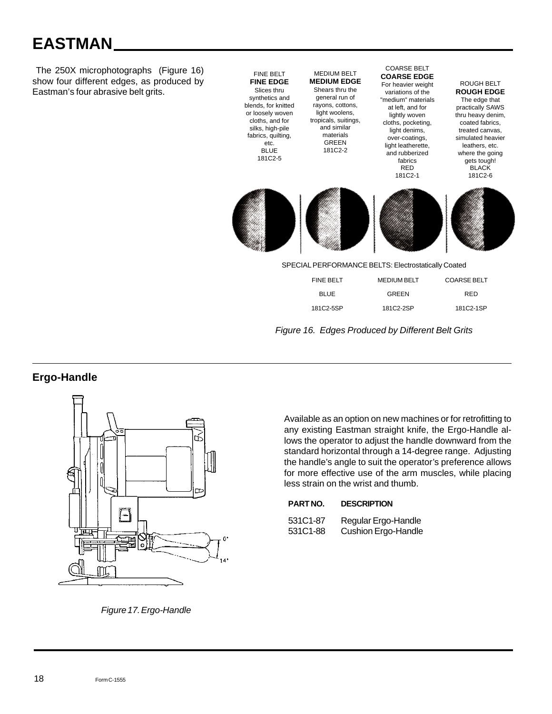# **EASTMAN**

 The 250X microphotographs (Figure 16) show four different edges, as produced by Eastman's four abrasive belt grits.





### **Ergo-Handle**



Available as an option on new machines or for retrofitting to any existing Eastman straight knife, the Ergo-Handle allows the operator to adjust the handle downward from the standard horizontal through a 14-degree range. Adjusting the handle's angle to suit the operator's preference allows for more effective use of the arm muscles, while placing less strain on the wrist and thumb.

| PART NO. | <b>DESCRIPTION</b> |
|----------|--------------------|
|          |                    |

| 531C1-87 | Regular Ergo-Handle        |
|----------|----------------------------|
| 531C1-88 | <b>Cushion Ergo-Handle</b> |

*Figure 17. Ergo-Handle*

18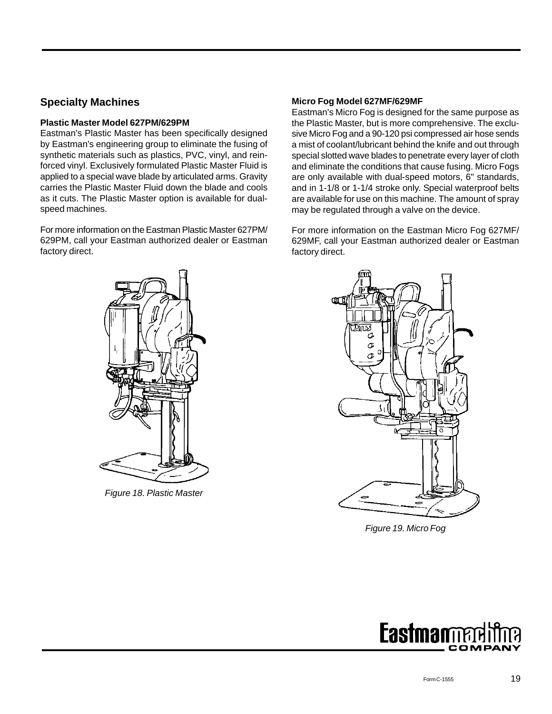### **Specialty Machines**

#### **Plastic Master Model 627PM/629PM**

Eastman's Plastic Master has been specifically designed by Eastman's engineering group to eliminate the fusing of synthetic materials such as plastics, PVC, vinyl, and reinforced vinyl. Exclusively formulated Plastic Master Fluid is applied to a special wave blade by articulated arms. Gravity carries the Plastic Master Fluid down the blade and cools as it cuts. The Plastic Master option is available for dualspeed machines.

For more information on the Eastman Plastic Master 627PM/ 629PM, call your Eastman authorized dealer or Eastman factory direct.

#### **Micro Fog Model 627MF/629MF**

Eastman's Micro Fog is designed for the same purpose as the Plastic Master, but is more comprehensive. The exclusive Micro Fog and a 90-120 psi compressed air hose sends a mist of coolant/lubricant behind the knife and out through special slotted wave blades to penetrate every layer of cloth and eliminate the conditions that cause fusing. Micro Fogs are only available with dual-speed motors, 6" standards, and in 1-1/8 or 1-1/4 stroke only. Special waterproof belts are available for use on this machine. The amount of spray may be regulated through a valve on the device.

For more information on the Eastman Micro Fog 627MF/ 629MF, call your Eastman authorized dealer or Eastman factory direct.



*Figure 18. Plastic Master*



*Figure 19. Micro Fog*

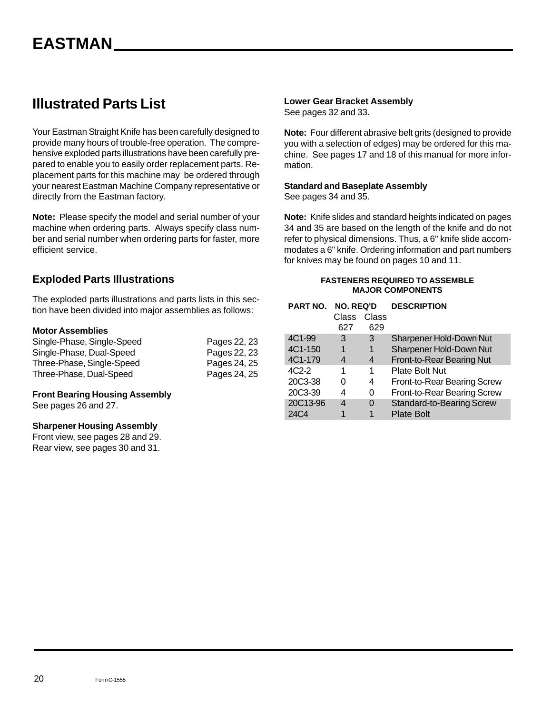## **Illustrated Parts List**

Your Eastman Straight Knife has been carefully designed to provide many hours of trouble-free operation. The comprehensive exploded parts illustrations have been carefully prepared to enable you to easily order replacement parts. Replacement parts for this machine may be ordered through your nearest Eastman Machine Company representative or directly from the Eastman factory.

**Note:** Please specify the model and serial number of your machine when ordering parts. Always specify class number and serial number when ordering parts for faster, more efficient service.

### **Exploded Parts Illustrations**

The exploded parts illustrations and parts lists in this section have been divided into major assemblies as follows:

#### **Motor Assemblies**

| Single-Phase, Single-Speed | Pages 22, 23 |
|----------------------------|--------------|
| Single-Phase, Dual-Speed   | Pages 22, 23 |
| Three-Phase, Single-Speed  | Pages 24, 25 |
| Three-Phase, Dual-Speed    | Pages 24, 25 |

#### **Front Bearing Housing Assembly**

See pages 26 and 27.

#### **Sharpener Housing Assembly**

Front view, see pages 28 and 29. Rear view, see pages 30 and 31.

#### **Lower Gear Bracket Assembly**

See pages 32 and 33.

**Note:** Four different abrasive belt grits (designed to provide you with a selection of edges) may be ordered for this machine. See pages 17 and 18 of this manual for more information.

#### **Standard and Baseplate Assembly**

See pages 34 and 35.

**Note:** Knife slides and standard heights indicated on pages 34 and 35 are based on the length of the knife and do not refer to physical dimensions. Thus, a 6" knife slide accommodates a 6" knife. Ordering information and part numbers for knives may be found on pages 10 and 11.

#### **FASTENERS REQUIRED TO ASSEMBLE MAJOR COMPONENTS**

| PART NO. | <b>NO. REQ'D</b><br>Class<br>Class |     | <b>DESCRIPTION</b>               |
|----------|------------------------------------|-----|----------------------------------|
|          | 627                                | 629 |                                  |
| 4C1-99   | 3                                  | 3   | Sharpener Hold-Down Nut          |
| 4C1-150  | 1                                  | 1   | Sharpener Hold-Down Nut          |
| 4C1-179  | 4                                  | 4   | Front-to-Rear Bearing Nut        |
| $4C2-2$  | 1                                  | 1   | <b>Plate Bolt Nut</b>            |
| 20C3-38  | O                                  | 4   | Front-to-Rear Bearing Screw      |
| 20C3-39  | 4                                  | 0   | Front-to-Rear Bearing Screw      |
| 20C13-96 | 4                                  | O   | <b>Standard-to-Bearing Screw</b> |
| 24C4     |                                    |     | <b>Plate Bolt</b>                |
|          |                                    |     |                                  |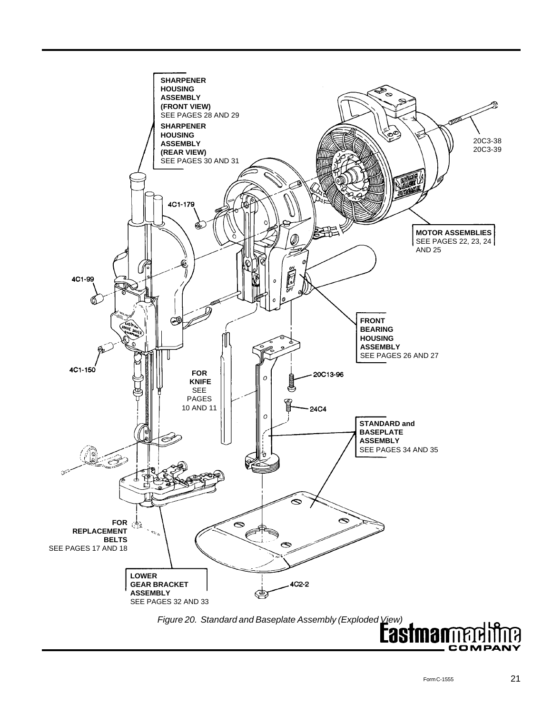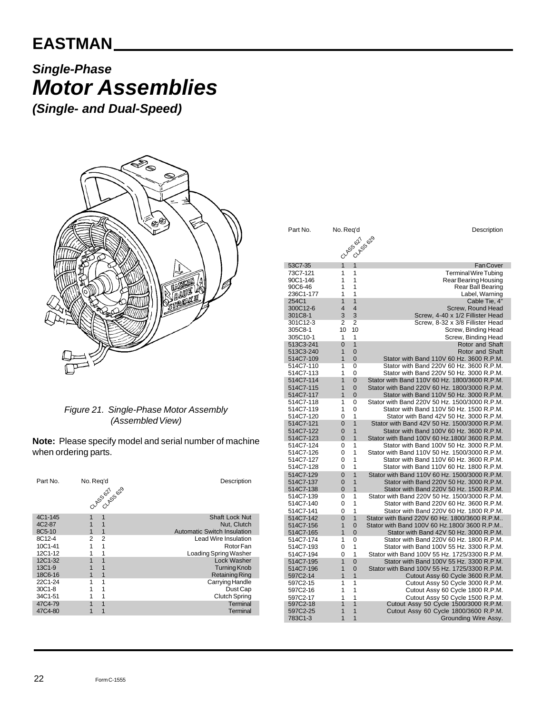# *Single-Phase Motor Assemblies*

*(Single- and Dual-Speed)*



#### *Figure 21. Single-Phase Motor Assembly (Assembled View)*

**Note:** Please specify model and serial number of machine when ordering parts.

| Part No.                     | No. Reg'd<br>CLASSON 55029 | Description                                                                |
|------------------------------|----------------------------|----------------------------------------------------------------------------|
| 4C1-145<br>4C2-87<br>8C5-10  | 1<br>1<br>1<br>1           | <b>Shaft Lock Nut</b><br>Nut. Clutch<br><b>Automatic Switch Insulation</b> |
| 8C12-4<br>10C1-41<br>12C1-12 | 2<br>2<br>1<br>1           | Lead Wire Insulation<br>Rotor Fan<br>Loading Spring Washer                 |
| 12C1-32<br>13C1-9<br>18C6-16 |                            | Lock Washer<br><b>Turning Knob</b><br><b>Retaining Ring</b>                |
| 22C1-24<br>30C1-8<br>34C1-51 | 1                          | Carrying Handle<br>Dust Cap<br><b>Clutch Spring</b>                        |
| 47C4-79<br>47C4-80           | 1<br>1                     | Terminal<br>Terminal                                                       |

| Part No.               | No. Req'd                        | Description                                   |
|------------------------|----------------------------------|-----------------------------------------------|
|                        | CLASS 621                        | CLASS 629                                     |
|                        |                                  |                                               |
|                        |                                  |                                               |
|                        |                                  |                                               |
| 53C7-35                | 1<br>1                           | <b>Fan Cover</b>                              |
| 73C7-121               | 1<br>1                           | <b>Terminal Wire Tubing</b>                   |
| 90C1-146               | 1<br>1                           | Rear Bearing Housing                          |
| 90C6-46                | 1<br>1                           | Rear Ball Bearing                             |
| 236C1-177              | 1<br>1                           | Label, Warning                                |
| 254C1                  | 1<br>1                           | Cable Tie, 4"                                 |
| 300C12-6               | $\overline{\mathbf{4}}$<br>4     | Screw, Round Head                             |
| 301C8-1                | 3<br>3                           | Screw, 4-40 x 1/2 Fillister Head              |
| 301C12-3               | 2<br>2                           | Screw, 8-32 x 3/8 Fillister Head              |
| 305C8-1                | 10<br>10                         | Screw, Binding Head                           |
| 305C10-1               | 1<br>1                           | Screw, Binding Head                           |
| 513C3-241              | 0<br>1                           | Rotor and Shaft                               |
| 513C3-240              | 1<br>$\Omega$                    | Rotor and Shaft                               |
| 514C7-109              | 1<br>$\overline{0}$              | Stator with Band 110V 60 Hz. 3600 R.P.M.      |
| 514C7-110              | 1<br>0                           | Stator with Band 220V 60 Hz, 3600 R.P.M.      |
|                        | 1<br>0                           | Stator with Band 220V 50 Hz, 3000 R.P.M.      |
| 514C7-113<br>514C7-114 | 1                                | Stator with Band 110V 60 Hz, 1800/3600 R.P.M. |
|                        | $\overline{0}$<br>1<br>$\Omega$  | Stator with Band 220V 60 Hz, 1800/3000 R.P.M. |
| 514C7-115              |                                  |                                               |
| 514C7-117              | $\overline{1}$<br>$\overline{0}$ | Stator with Band 110V 50 Hz. 3000 R.P.M.      |
| 514C7-118              | 1<br>0                           | Stator with Band 220V 50 Hz, 1500/3000 R.P.M. |
| 514C7-119              | 1<br>0                           | Stator with Band 110V 50 Hz. 1500 R.P.M.      |
| 514C7-120              | 1<br>0                           | Stator with Band 42V 50 Hz, 3000 R.P.M.       |
| 514C7-121              | $\Omega$<br>1                    | Stator with Band 42V 50 Hz, 1500/3000 R.P.M.  |
| 514C7-122              | $\overline{0}$<br>1              | Stator with Band 100V 60 Hz, 3600 R.P.M.      |
| 514C7-123              | $\Omega$<br>1                    | Stator with Band 100V 60 Hz.1800/3600 R.P.M.  |
| 514C7-124              | 1<br>0                           | Stator with Band 100V 50 Hz. 3000 R.P.M.      |
| 514C7-126              | 1<br>0                           | Stator with Band 110V 50 Hz, 1500/3000 R.P.M. |
| 514C7-127              | 1<br>0                           | Stator with Band 110V 60 Hz. 3600 R.P.M.      |
| 514C7-128              | 0<br>1                           | Stator with Band 110V 60 Hz. 1800 R.P.M.      |
| 514C7-129              | $\overline{1}$<br>$\overline{0}$ | Stator with Band 110V 60 Hz, 1500/3000 R.P.M. |
| 514C7-137              | $\overline{1}$<br>$\overline{0}$ | Stator with Band 220V 50 Hz, 3000 R.P.M.      |
| 514C7-138              | 1<br>$\overline{0}$              | Stator with Band 220V 50 Hz, 1500 R.P.M.      |
| 514C7-139              | 1<br>0                           | Stator with Band 220V 50 Hz, 1500/3000 R.P.M. |
| 514C7-140              | 1<br>0                           | Stator with Band 220V 60 Hz, 3600 R.P.M.      |
| 514C7-141              | 1<br>0                           | Stator with Band 220V 60 Hz, 1800 R.P.M.      |
| 514C7-142              | $\overline{0}$<br>1              | Stator with Band 220V 60 Hz. 1800/3600 R.P.M  |
| 514C7-156              | 1<br>$\Omega$                    | Stator with Band 100V 60 Hz.1800/3600 R.P.M   |
| 514C7-165              | 1<br>0                           | Stator with Band 42V 50 Hz. 3000 R.P.M.       |
| 514C7-174              | 1<br>0                           | Stator with Band 220V 60 Hz, 1800 R.P.M.      |
| 514C7-193              | 0<br>1                           | Stator with Band 100V 55 Hz, 3300 R.P.M.      |
| 514C7-194              | 1<br>0                           | Stator with Band 100V 55 Hz, 1725/3300 R.P.M. |
| 514C7-195              | 1<br>0                           | Stator with Band 100V 55 Hz. 3300 R.P.M.      |
| 514C7-196              | $\overline{1}$<br>$\overline{0}$ | Stator with Band 100V 55 Hz. 1725/3300 R.P.M. |
| 597C2-14               | $\overline{1}$<br>$\overline{1}$ | Cutout Assy 60 Cycle 3600 R.P.M.              |
| 597C2-15               | 1<br>1                           | Cutout Assy 50 Cycle 3000 R.P.M.              |
| 597C2-16               | 1<br>1                           | Cutout Assy 60 Cycle 1800 R.P.M.              |
| 597C2-17               | 1<br>1                           | Cutout Assy 50 Cycle 1500 R.P.M.              |
| 597C2-18               | 1<br>1                           | Cutout Assy 50 Cycle 1500/3000 R.P.M.         |
| 597C2-25               | $\overline{1}$<br>1              | Cutout Assy 60 Cycle 1800/3600 R.P.M.         |
| 783C1-3                | 1<br>1                           | Grounding Wire Assy.                          |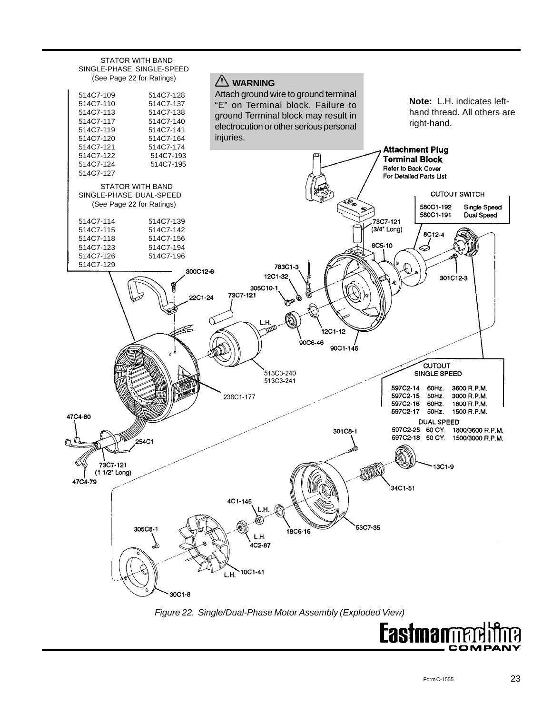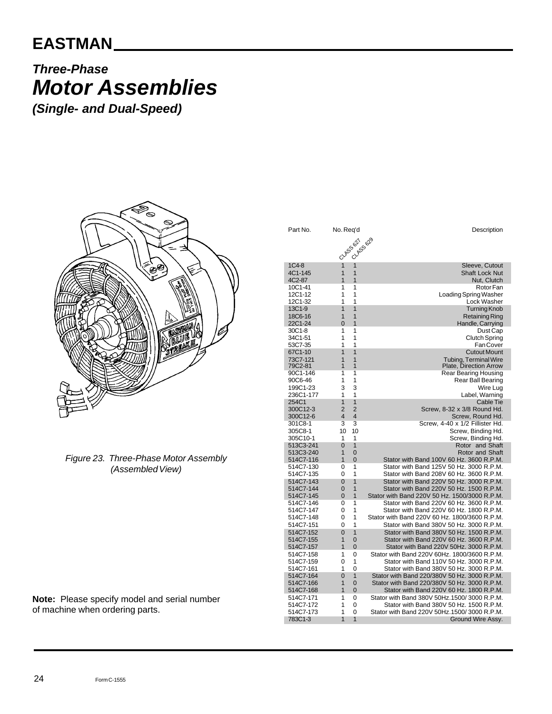## **EASTMAN**

# *Three-Phase Motor Assemblies*

*(Single- and Dual-Speed)*



*Figure 23. Three-Phase Motor Assembly (Assembled View)*

Part No. No. Req'd **Description** 1C4-8 1 1 1 Sleeve, Cutout 1C4-8 1 1 1 Sleeve, Cutout 2C1-145 1 1 1 3 Sleeve, Cutout 2C1-145 Shaft Lock Nut 4C2-87 1 1 1 Nut, Clutch<br>10C1-41 1 1 1 Rotor Fan 10C1-41 1 1<br>12C1-12 1 1 1 1 Loading Spring Washer 12C1-12 1 1<br>12C1-32 1 1 1 Loading Spring Washer 12C1-32 1 1 1 Lock Washer<br>13C1-9 1 1 1 Turning Knob 13C1-9 1 1 1 Turning Knob<br>18C6-16 1 1 1 Retaining Ring 18C6-16 1 1 1 Retaining Ring<br>22C1-24 0 1 Handle, Carrying 22C1-24 0 1 Handle, Carrying 30C1-8 1 1 Dust Cap 34C1-51 1 1 Clutch Spring 53C7-35 1 1 Fan Cover external of the control of the control of the control of the control of the control of the control of the control of the control of the control of the control of the control of the control of the control of the control of 73C7-121 1 1 Tubing, Terminal Wire 79C2-81 1 1 Plate, Direction Arrow 90C1-146 1 1 Rear Bearing Housing Rear Ball Bearing<br>Wire Lug 199C1-23 3 3<br>236C1-177 1 1 236C1-177 1 1 Label, Warning 1 1 Cable Tie<br>2 2 Screw, 8-32 x 3/8 Round Hd. 300C12-3 2 2 Screw, 8-32 x 3/8 Round Hd. 300C12-6 4 4 Screw, Round Hd. 301C8-1 3 3 3 Screw, 4-40 x 1/2 Fillister Hd.<br>305C8-1 10 10 Screw, Binding Hd. 305C8-1 10 10 Screw, Binding Hd. 305C10-1 1 1 Screw, Binding Hd.<br>513C3-241 0 1 Rotor and Shaft 513C3-241 0 1 Rotor and Shaft<br>513C3-240 1 0 Rotor and Shaft 513C3-240 1 0 Rotor and Shaft<br>514C7-116 1 0 Stator with Band 100V 60 Hz. 3600 R.P.M. 514C7-116 1 0 Stator with Band 100V 60 Hz. 3600 R.P.M.<br>514C7-130 0 1 Stator with Band 125V 50 Hz. 3000 R.P.M. 514C7-130 0 1 Stator with Band 125V 50 Hz. 3000 R.P.M.<br>514C7-135 0 1 Stator with Band 208V 60 Hz. 3600 R.P.M. 514C7-135 0 1 Stator with Band 208V 60 Hz. 3600 R.P.M.<br>514C7-143 0 1 Stator with Band 220V 50 Hz. 3000 R.P.M. 514C7-143 0 1 Stator with Band 220V 50 Hz. 3000 R.P.M.<br>514C7-144 0 1 Stator with Band 220V 50 Hz. 1500 R.P.M. 1 Stator with Band 220V 50 Hz. 1500 R.P.M. 514C7-145 0 1 Stator with Band 220V 50 Hz. 1500/3000 R.P.M. 514C7-146 0 1 Stator with Band 220V 60 Hz. 3600 R.P.M.<br>514C7-147 0 1 Stator with Band 220V 60 Hz 1800 R P M 1 Stator with Band 220V 60 Hz. 1800 R.P.M. 514C7-148 0 1 Stator with Band 220V 60 Hz. 1800/3600 R.P.M. 1 Stator with Band 380V 50 Hz. 3000 R.P.M. 514C7-152 0 1 Stator with Band 380V 50 Hz. 1500 R.P.M. 514C7-155 1 0 Stator with Band 220V 60 Hz. 3600 R.P.M.<br>514C7-157 1 0 Stator with Band 220V 50Hz. 3000 R.P.M. 514C7-157 1 0 Stator with Band 220V 50Hz. 3000 R.P.M.<br>514C7-158 1 0 Stator with Band 220V 60Hz. 1800/3600 R.P.M. 514C7-158 1 0 Stator with Band 220V 60Hz. 1800/3600 R.P.M.<br>514C7-159 0 1 Stator with Band 110V 50 Hz. 3000 R.P.M. 514C7-159 0 1 Stator with Band 110V 50 Hz. 3000 R.P.M. 514C7-161 1 0 Stator with Band 380V 50 Hz. 3000 R.P.M.<br>514C7-164 0 1 Stator with Band 220/380V 50 Hz. 3000 R.P.M. 514C7-164 0 1 Stator with Band 220/380V 50 Hz. 3000 R.P.M.<br>514C7-166 1 0 Stator with Band 220/380V 50 Hz. 3000 R.P.M. 514C7-166 1 0 Stator with Band 220/380V 50 Hz. 3000 R.P.M.<br>514C7-168 1 0 Stator with Band 220V 60 Hz. 1800 R.P.M. 514C7-168 1 0 Stator with Band 220V 60 Hz. 1800 R.P.M.<br>514C7-171 1 0 Stator with Band 380V 50Hz.1500/ 3000 R.P.M. 514C7-171 1 0 Stator with Band 380V 50Hz.1500/ 3000 R.P.M.<br>514C7-172 1 0 Stator with Band 380V 50 Hz. 1500 R.P.M. 514C7-172 1 0 Stator with Band 380V 50 Hz. 1500 R.P.M.<br>514C7-173 1 0 Stator with Band 220V 50Hz.1500/ 3000 R.P.M. 514C7-173 1 0 Stator with Band 220V 50Hz.1500/ 3000 R.P.M. 1 1 1 Ground Wire Assy. CLASS 627 CLASS 629

**Note:** Please specify model and serial number of machine when ordering parts.

24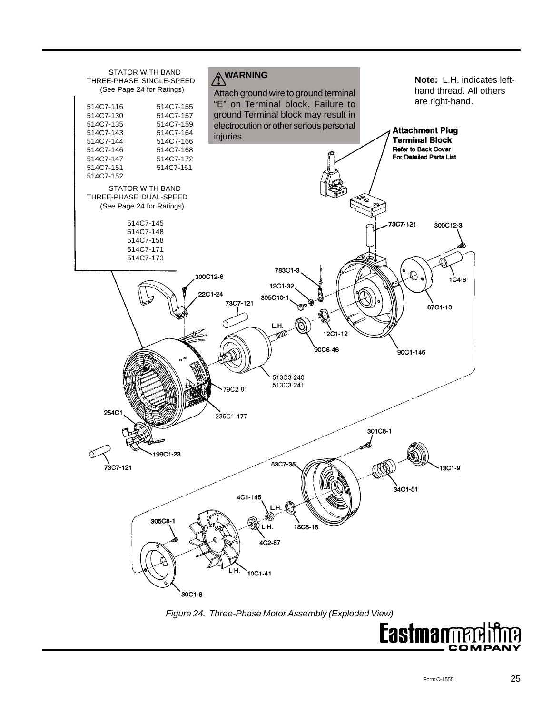

COMPA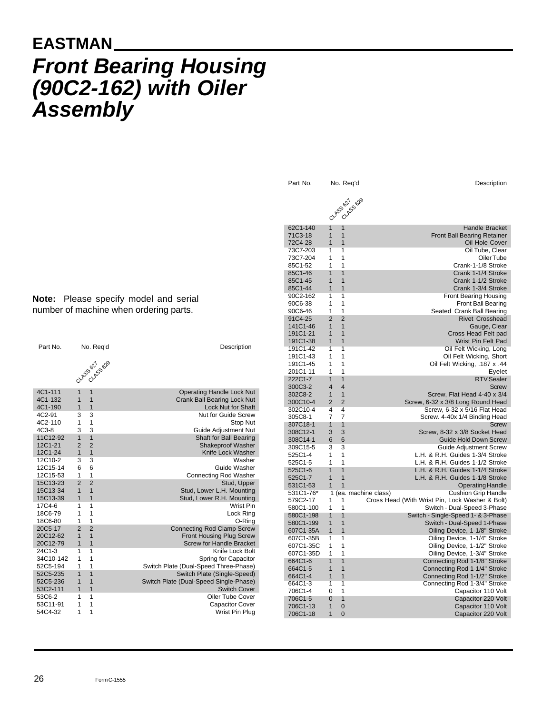# **EASTMAN** *Front Bearing Housing (90C2-162) with Oiler Assembly*

**Note:** Please specify model and serial number of machine when ordering parts.

| Part No.           |                     | No. Req'd                        | Description                                                   |
|--------------------|---------------------|----------------------------------|---------------------------------------------------------------|
|                    |                     | CLASSER SOR                      |                                                               |
| 4C1-111            | $\overline{1}$      | $\overline{1}$                   | <b>Operating Handle Lock Nut</b>                              |
| 4C1-132            | 1                   | $\overline{1}$                   | <b>Crank Ball Bearing Lock Nut</b>                            |
| 4C1-190            | $\overline{1}$      | $\overline{1}$                   | <b>Lock Nut for Shaft</b>                                     |
| 4C2-91             | 3                   | 3                                | Nut for Guide Screw                                           |
| 4C2-110            | 1                   | $\overline{1}$                   | Stop Nut                                                      |
| 4C3-8              | 3                   | 3                                | Guide Adjustment Nut                                          |
| 11C12-92           | $\overline{1}$      | $\overline{1}$                   | Shaft for Ball Bearing                                        |
| 12C1-21            | $\overline{2}$      | $\overline{2}$                   | <b>Shakeproof Washer</b>                                      |
| 12C1-24            | $\overline{1}$      | $\overline{1}$                   | Knife Lock Washer                                             |
| 12C10-2            | 3                   | 3                                | Washer                                                        |
| 12C15-14           | 6                   | 6                                | Guide Washer                                                  |
| 12C15-53           | 1                   | $\mathbf{1}$                     | <b>Connecting Rod Washer</b>                                  |
| 15C13-23           | $\overline{2}$      | $\overline{2}$                   | Stud, Upper                                                   |
| 15C13-34           | 1                   | $\overline{1}$                   | Stud, Lower L.H. Mounting                                     |
| 15C13-39           | $\overline{1}$      | $\overline{1}$                   | Stud, Lower R.H. Mounting                                     |
| 17C4-6             | 1                   | 1                                | Wrist Pin                                                     |
| 18C6-79            | 1                   | 1                                | Lock Ring                                                     |
| 18C6-80            | 1                   | 1                                | O-Ring                                                        |
| 20C5-17            | $\mathfrak{p}$<br>1 | $\overline{2}$<br>$\overline{1}$ | <b>Connecting Rod Clamp Screw</b>                             |
| 20C12-62           |                     |                                  | <b>Front Housing Plug Screw</b>                               |
| 20C12-79<br>24C1-3 | 1<br>1              | 1<br>1                           | <b>Screw for Handle Bracket</b><br>Knife Lock Bolt            |
| 34C10-142          | 1                   | 1                                |                                                               |
| 52C5-194           | 1                   | 1                                | Spring for Capacitor<br>Switch Plate (Dual-Speed Three-Phase) |
| 52C5-235           | $\overline{1}$      | $\overline{1}$                   | Switch Plate (Single-Speed)                                   |
| 52C5-236           | 1                   | 1                                | Switch Plate (Dual-Speed Single-Phase)                        |
| 53C2-111           | 1                   | $\overline{1}$                   | <b>Switch Cover</b>                                           |
| 53C6-2             | 1                   | 1                                | <b>Oiler Tube Cover</b>                                       |
| 53C11-91           | 1                   | 1                                | <b>Capacitor Cover</b>                                        |
| 54C4-32            | 1                   | 1                                | Wrist Pin Plug                                                |

62C1-140 1 1 1 Handle Bracket 71C3-18 1 1 Front Ball Bearing Retainer 72C4-28 1 1 Oil Hole Cover 73C7-203 1 1 Oil Tube, Clear 73C7-204 1 1 Oiler Tube 85C1-52 1 1 1 Crank-1-1/8 Stroke 85C1-46 1 1 Crank 1-1/4 Stroke 85C1-45 1 1 1 Crank 1-1/2 Stroke<br>85C1-44 1 1 1 Crank 1-3/4 Stroke 1 Crank 1-3/4 Stroke 90C2-162 1 1 1 **1 Realter Strategier Strategier Strategier Strategier Strategier Strategier Strategier Strategier** 90C6-38 1 1 1 **1 and 1** Front Ball Bearing 90C6-46 1 1 Seated Crank Ball Bearing 91C4-25 2 2 Rivet Crosshead<br>141C1-46 1 1 1 Gauge, Clear 141C1-46 1 1<br>
191C1-21 1 1 Gauge, Clear Cross Head Felt pad 1910 1 1 Cross Head Felt pad 191C1-38 1 1 1 Wrist Pin Felt Pad 191C1-42 1 1 1 Oil Felt Wicking, Long<br>191C1-43 1 1 Oil Felt Wicking, Short 1 1 1 Oil Felt Wicking, Short 191C1-45 1 1 Oil Felt Wicking, .187 x .44 201C1-11 1 1<br>222C1-7 1 1 222C1-7 1 1 RTV Sealer 300C3-2 4 4 Screw 302C8-2 1 1 Screw, Flat Head 4-40 x 3/4 2 2 Screw, 6-32 x 3/8 Long Round Head 302C10-4 4 4 Screw, 6-32 x 5/16 Flat Head Screw. 4-40x 1/4 Binding Head 307C18-1 1 1 1 Screw 308C12-1 3 3 Screw, 8-32 x 3/8 Socket Head 308C14-1 6 6 Guide Hold Down Screw 309C15-5 3 3 Guide Adjustment Screw 1 1 1 L.H. & R.H. Guides 1-3/4 Stroke 525C1-5 1 1 1 L.H. & R.H. Guides 1-1/2 Stroke<br>525C1-6 1 1 1 L.H. & R.H. Guides 1-1/4 Stroke 1 1 1 L.H. & R.H. Guides 1-1/4 Stroke 525C1-7 1 1 1 L.H. & R.H. Guides 1-1/8 Stroke 531C1-53 1 1 531 Contract of the Contract of the Contract of Contract of the Operating Handle 531C1-76\* 1 (ea. machine class) Cushion Grip Handle<br>579C2-17 1 1 Cross Head (With Wrist Pin, Lock Washer & Bolt) 1 1 Cross Head (With Wrist Pin, Lock Washer & Bolt) 580C1-100 1 1 Switch - Dual-Speed 3-Phase 580C1-198 1 1 1 Switch - Single-Speed 1- & 3-Phase 580C1-199 1 1 1 Switch - Dual-Speed 1-Phase<br>607C1-35A 1 1 1 Colling Device, 1-1/8" Stroke 1 **1** Oiling Device, 1-1/8" Stroke 607C1-35B 1 1 Oiling Device, 1-1/4" Stroke 1 1 1 Ciling Device, 1-1/2" Stroke 607C1-35D 1 1 Oiling Device, 1-3/4" Stroke 664C1-6 1 1 Connecting Rod 1-1/8" Stroke 664C1-5 1 1 Connecting Rod 1-1/4" Stroke 664C1-4 1 1 Connecting Rod 1-1/2" Stroke 1 1 Connecting Rod 1-3/4" Stroke 706C1-4 0 1 Capacitor 110 Volt 706C1-5 0 1 Capacitor 220 Volt 706C1-13 1 0 Capacitor 110 Volt CLASS 627 **CLASS 629** 

Capacitor 220 Volt

Part No. No. Req'd Description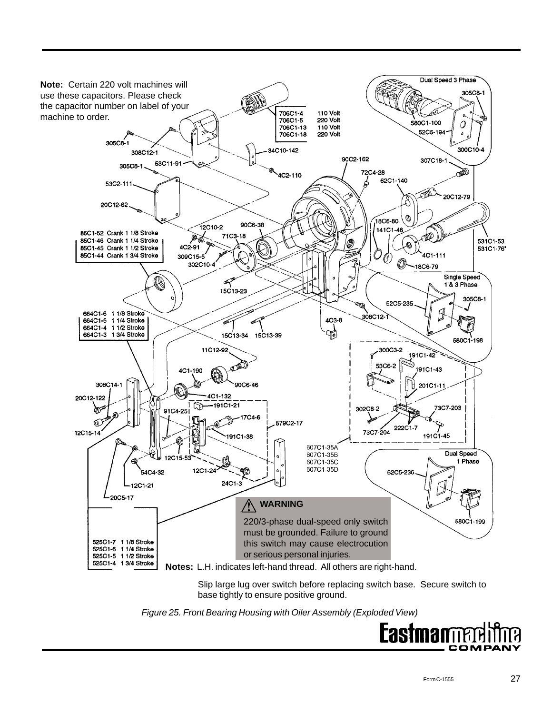

Slip large lug over switch before replacing switch base. Secure switch to base tightly to ensure positive ground.

*Figure 25. Front Bearing Housing with Oiler Assembly (Exploded View)*

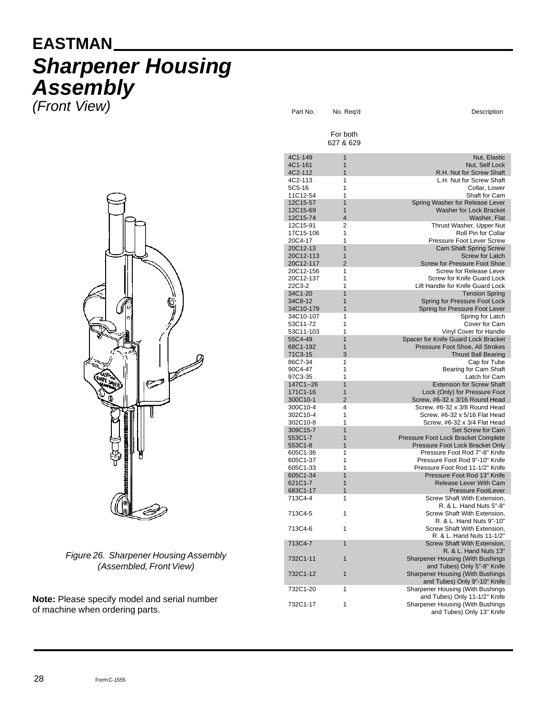# **EASTMAN** *Sharpener Housing Assembly*

*(Front View)*



*Figure 26. Sharpener Housing Assembly (Assembled, Front View)*

**Note:** Please specify model and serial number of machine when ordering parts.

|  |                        | For both<br>627 & 629 |                                                                  |
|--|------------------------|-----------------------|------------------------------------------------------------------|
|  | 4C1-149                | $\overline{1}$        | Nut, Elastic                                                     |
|  | 4C1-161                | $\mathbf{1}$          | Nut, Self Lock                                                   |
|  | 4C2-112                | 1                     | R.H. Nut for Screw Shaft                                         |
|  | 4C2-113                | 1                     | L.H. Nut for Screw Shaft                                         |
|  | 5C5-16                 | 1                     | Collar. Lower                                                    |
|  | 11C12-54               | 1                     | Shaft for Cam                                                    |
|  | 12C15-57<br>12C15-69   | 1<br>1                | Spring Washer for Release Lever<br>Washer for Lock Bracket       |
|  | 12C15-74               | $\overline{4}$        | Washer, Flat                                                     |
|  | 12C15-91               | 2                     | Thrust Washer, Upper Nut                                         |
|  | 17C15-106              | 1                     | Roll Pin for Collar                                              |
|  | 20C4-17                | 1                     | Pressure Foot Lever Screw                                        |
|  | 20C12-13               | 1                     | <b>Cam Shaft Spring Screw</b>                                    |
|  | 20C12-113<br>20C12-117 | 1<br>$\overline{2}$   | <b>Screw for Latch</b><br><b>Screw for Pressure Foot Shoe</b>    |
|  | 20C12-156              | 1                     | Screw for Release Lever                                          |
|  | 20C12-137              | 1                     | <b>Screw for Knife Guard Lock</b>                                |
|  | 22C3-2                 | 1                     | Lift Handle for Knife Guard Lock                                 |
|  | 34C1-20                | $\overline{1}$        | <b>Tension Spring</b>                                            |
|  | 34C8-12                | 1                     | Spring for Pressure Foot Lock                                    |
|  | 34C10-179<br>34C10-107 | $\overline{1}$<br>1   | Spring for Pressure Foot Lever<br>Spring for Latch               |
|  | 53C11-72               | 1                     | Cover for Cam                                                    |
|  | 53C11-103              | 1                     | Vinyl Cover for Handle                                           |
|  | 55C4-49                | 1                     | Spacer for Knife Guard Lock Bracket                              |
|  | 68C1-192               | 1                     | Pressure Foot Shoe, All Strokes                                  |
|  | 71C3-15                | 3                     | <b>Thrust Ball Bearing</b>                                       |
|  | 86C7-34<br>90C4-47     | 1<br>1                | Cap for Tube<br>Bearing for Cam Shaft                            |
|  | 97C3-35                | 1                     | Latch for Cam                                                    |
|  | 147C1--26              | 1                     | <b>Extension for Screw Shaft</b>                                 |
|  | 171C1-16               | 1                     | Lock (Only) for Pressure Foot                                    |
|  | 300C10-1               | $\overline{2}$        | Screw, #6-32 x 3/16 Round Head                                   |
|  | 300C10-4               | 4                     | Screw, #6-32 x 3/8 Round Head                                    |
|  | 302C10-4<br>302C10-8   | 1<br>1                | Screw, #6-32 x 5/16 Flat Head<br>Screw, #6-32 x 3/4 Flat Head    |
|  | 309C15-7               | 1                     | Set Screw for Cam                                                |
|  | 553C1-7                | 1                     | Pressure Foot Lock Bracket Complete                              |
|  | 553C1-8                | $\overline{1}$        | Pressure Foot Lock Bracket Only                                  |
|  | 605C1-36               | 1                     | Pressure Foot Rod 7"-8" Knife                                    |
|  | 605C1-37               | 1                     | Pressure Foot Rod 9"-10" Knife                                   |
|  | 605C1-33<br>605C1-34   | 1<br>1                | Pressure Foot Rod 11-1/2" Knife<br>Pressure Foot Rod 13" Knife   |
|  | 621C1-7                | 1                     | <b>Release Lever With Cam</b>                                    |
|  | 683C1-17               | 1                     | <b>Pressure FootLever</b>                                        |
|  | 713C4-4                | 1                     | Screw Shaft With Extension,                                      |
|  |                        |                       | R. & L. Hand Nuts 5"-8"                                          |
|  | 713C4-5                | 1                     | Screw Shaft With Extension,                                      |
|  | 713C4-6                | 1                     | R. & L. Hand Nuts 9"-10"<br>Screw Shaft With Extension.          |
|  |                        |                       | R. & L. Hand Nuts 11-1/2"                                        |
|  | 713C4-7                | $\mathbf{1}$          | Screw Shaft With Extension,                                      |
|  |                        |                       | R. & L. Hand Nuts 13"                                            |
|  | 732C1-11               | 1                     | Sharpener Housing (With Bushings                                 |
|  |                        |                       | and Tubes) Only 5"-8" Knife                                      |
|  | 732C1-12               | 1                     | Sharpener Housing (With Bushings<br>and Tubes) Only 9"-10" Knife |
|  | 732C1-20               | 1                     | Sharpener Housing (With Bushings                                 |
|  |                        |                       | and Tubes) Only 11-1/2" Knife                                    |
|  | 732C1-17               | 1                     | Sharpener Housing (With Bushings                                 |
|  |                        |                       | and Tubes) Only 13" Knife                                        |
|  |                        |                       |                                                                  |

Part No. No. Req'd Description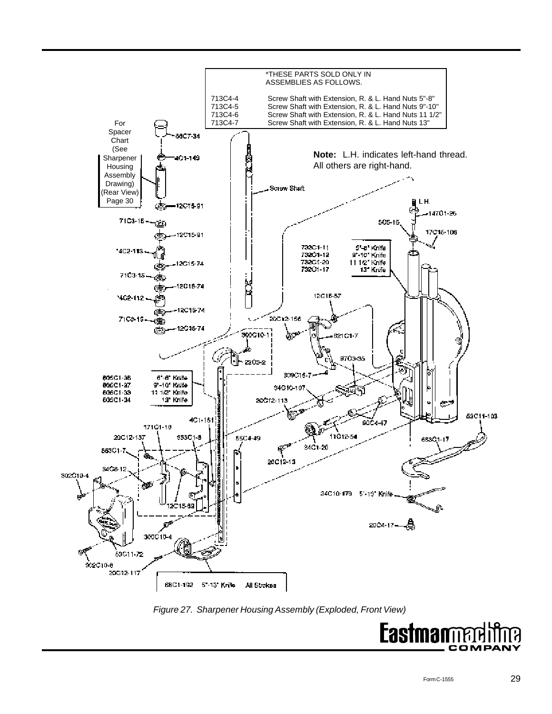

*Figure 27. Sharpener Housing Assembly (Exploded, Front View)*

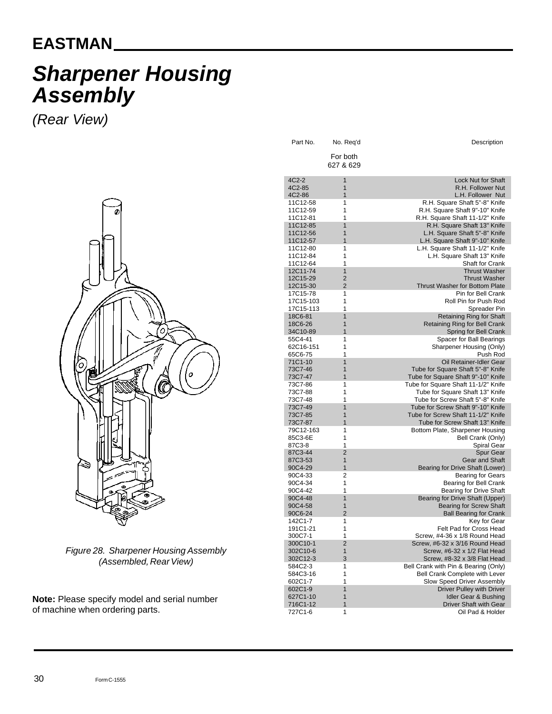## **EASTMAN**

# *Sharpener Housing Assembly*

*(Rear View)*



*Figure 28. Sharpener Housing Assembly (Assembled, Rear View)*

**Note:** Please specify model and serial number of machine when ordering parts.

| Part No.             | No. Req'd           | Description                                                            |
|----------------------|---------------------|------------------------------------------------------------------------|
|                      | For both            |                                                                        |
|                      | 627 & 629           |                                                                        |
| 4C2-2                | 1                   | <b>Lock Nut for Shaft</b>                                              |
| 4C2-85<br>4C2-86     | 1<br>1              | R.H. Follower Nut<br>L.H. Follower Nut                                 |
| 11C12-58             | 1                   | R.H. Square Shaft 5"-8" Knife                                          |
| 11C12-59             | 1                   | R.H. Square Shaft 9"-10" Knife                                         |
| 11C12-81             | 1                   | R.H. Square Shaft 11-1/2" Knife                                        |
| 11C12-85<br>11C12-56 | 1<br>1              | R.H. Square Shaft 13" Knife                                            |
| 11C12-57             | 1                   | L.H. Square Shaft 5"-8" Knife<br>L.H. Square Shaft 9"-10" Knife        |
| 11C12-80             | 1                   | L.H. Square Shaft 11-1/2" Knife                                        |
| 11C12-84             | 1                   | L.H. Square Shaft 13" Knife                                            |
| 11C12-64<br>12C11-74 | 1<br>$\overline{1}$ | Shaft for Crank<br><b>Thrust Washer</b>                                |
| 12C15-29             | $\overline{2}$      | <b>Thrust Washer</b>                                                   |
| 12C15-30             | $\overline{2}$      | <b>Thrust Washer for Bottom Plate</b>                                  |
| 17C15-78             | 1                   | Pin for Bell Crank                                                     |
| 17C15-103            | 1<br>1              | Roll Pin for Push Rod                                                  |
| 17C15-113<br>18C6-81 | 1                   | Spreader Pin<br><b>Retaining Ring for Shaft</b>                        |
| 18C6-26              | 1                   | <b>Retaining Ring for Bell Crank</b>                                   |
| 34C10-89             | $\overline{1}$      | Spring for Bell Crank                                                  |
| 55C4-41              | 1                   | Spacer for Ball Bearings                                               |
| 62C16-151<br>65C6-75 | 1<br>1              | Sharpener Housing (Only)<br>Push Rod                                   |
| 71C1-10              | 1                   | Oil Retainer-Idler Gear                                                |
| 73C7-46              | 1                   | Tube for Square Shaft 5"-8" Knife                                      |
| 73C7-47              | 1                   | Tube for Square Shaft 9"-10" Knife                                     |
| 73C7-86<br>73C7-88   | 1<br>1              | Tube for Square Shaft 11-1/2" Knife<br>Tube for Square Shaft 13" Knife |
| 73C7-48              | 1                   | Tube for Screw Shaft 5"-8" Knife                                       |
| 73C7-49              | $\overline{1}$      | Tube for Screw Shaft 9"-10" Knife                                      |
| 73C7-85              | 1                   | Tube for Screw Shaft 11-1/2" Knife                                     |
| 73C7-87<br>79C12-163 | 1<br>1              | Tube for Screw Shaft 13" Knife<br>Bottom Plate, Sharpener Housing      |
| 85C3-6E              | 1                   | Bell Crank (Only)                                                      |
| 87C3-8               | 1                   | Spiral Gear                                                            |
| 87C3-44              | $\overline{2}$      | <b>Spur Gear</b>                                                       |
| 87C3-53<br>90C4-29   | 1<br>1              | <b>Gear and Shaft</b><br>Bearing for Drive Shaft (Lower)               |
| 90C4-33              | 2                   | <b>Bearing for Gears</b>                                               |
| 90C4-34              | 1                   | Bearing for Bell Crank                                                 |
| 90C4-42              | 1<br>$\overline{1}$ | <b>Bearing for Drive Shaft</b>                                         |
| 90C4-48<br>90C4-58   | $\overline{1}$      | Bearing for Drive Shaft (Upper)<br><b>Bearing for Screw Shaft</b>      |
| 90C6-24              | $\overline{2}$      | <b>Ball Bearing for Crank</b>                                          |
| 142C1-7              | 1                   | Key for Gear                                                           |
| 191C1-21             | 1                   | Felt Pad for Cross Head                                                |
| 300C7-1<br>300C10-1  | 1<br>$\overline{c}$ | Screw, #4-36 x 1/8 Round Head<br>Screw, #6-32 x 3/16 Round Head        |
| 302C10-6             | 1                   | Screw, #6-32 x 1/2 Flat Head                                           |
| 302C12-3             | 3                   | Screw, #8-32 x 3/8 Flat Head                                           |
| 584C2-3              | 1                   | Bell Crank with Pin & Bearing (Only)                                   |
| 584C3-16<br>602C1-7  | 1<br>1              | Bell Crank Complete with Lever<br><b>Slow Speed Driver Assembly</b>    |
| 602C1-9              | $\overline{1}$      | <b>Driver Pulley with Driver</b>                                       |
| 627C1-10             | 1                   | Idler Gear & Bushing                                                   |
| 716C1-12             | 1                   | <b>Driver Shaft with Gear</b>                                          |
| 727C1-6              | 1                   | Oil Pad & Holder                                                       |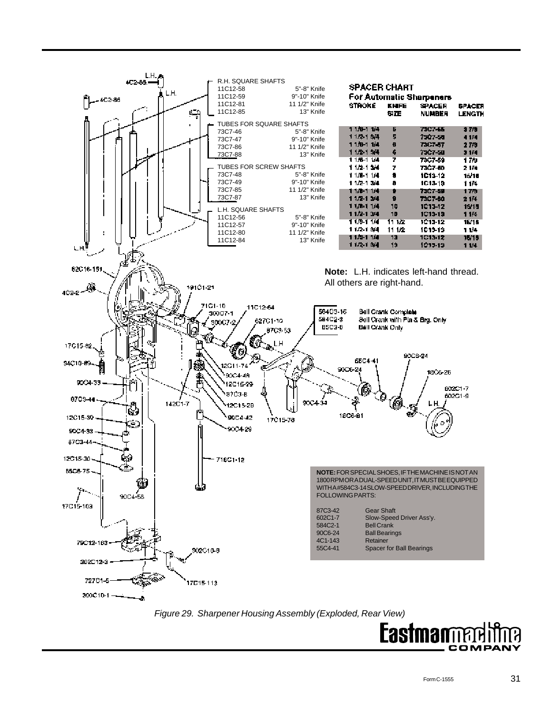

*Figure 29. Sharpener Housing Assembly (Exploded, Rear View)*

**Eastma** COMPAI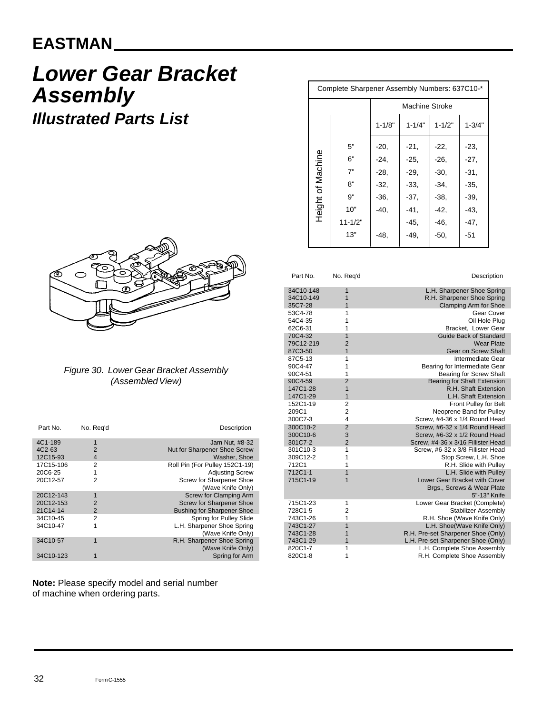## **EASTMAN**

# *Lower Gear Bracket Assembly Illustrated Parts List*



#### *Figure 30. Lower Gear Bracket Assembly (Assembled View)*

| Part No.            | No. Reg'd      | Description                       |
|---------------------|----------------|-----------------------------------|
| 4C1-189             | 1              | Jam Nut. #8-32                    |
| 4C <sub>2</sub> -63 | 2              | Nut for Sharpener Shoe Screw      |
| 12C15-93            | $\overline{4}$ | Washer, Shoe                      |
| 17C15-106           | 2              | Roll Pin (For Pulley 152C1-19)    |
| 20C6-25             | 1              | <b>Adjusting Screw</b>            |
| 20C12-57            | 2              | Screw for Sharpener Shoe          |
|                     |                | (Wave Knife Only)                 |
| 20C12-143           |                | Screw for Clamping Arm            |
| 20C12-153           | $\overline{2}$ | <b>Screw for Sharpener Shoe</b>   |
| 21C14-14            | $\overline{2}$ | <b>Bushing for Sharpener Shoe</b> |
| 34C10-45            | 2              | Spring for Pulley Slide           |
| 34C10-47            | 1              | L.H. Sharpener Shoe Spring        |
|                     |                | (Wave Knife Only)                 |
| 34C10-57            | 1              | R.H. Sharpener Shoe Spring        |
|                     |                | (Wave Knife Only)                 |
| 34C10-123           |                | Spring for Arm                    |

**Note:** Please specify model and serial number of machine when ordering parts.

| Complete Sharpener Assembly Numbers: 637C10-* |             |                       |            |            |            |  |
|-----------------------------------------------|-------------|-----------------------|------------|------------|------------|--|
|                                               |             | <b>Machine Stroke</b> |            |            |            |  |
|                                               |             | $1 - 1/8"$            | $1 - 1/4"$ | $1 - 1/2"$ | $1 - 3/4"$ |  |
|                                               | 5"          | $-20.$                | $-21,$     | $-22,$     | $-23,$     |  |
| of Machine                                    | 6"          | $-24.$                | $-25.$     | $-26.$     | $-27,$     |  |
|                                               | 7"          | $-28,$                | $-29.$     | $-30,$     | $-31.$     |  |
|                                               | 8"          | $-32.$                | -33.       | $-34.$     | $-35.$     |  |
|                                               | 9"          | $-36,$                | -37.       | -38.       | $-39.$     |  |
| Height                                        | 10"         | -40.                  | -41.       | -42.       | -43.       |  |
|                                               | $11 - 1/2"$ |                       | -45.       | -46.       | -47.       |  |
|                                               | 13"         | -48.                  | -49.       | -50.       | -51        |  |
|                                               |             |                       |            |            |            |  |

| Part No.                          | No. Req'd                        | Description                                                                              |
|-----------------------------------|----------------------------------|------------------------------------------------------------------------------------------|
| 34C10-148<br>34C10-149<br>35C7-28 | 1<br>1<br>1                      | L.H. Sharpener Shoe Spring<br>R.H. Sharpener Shoe Spring<br><b>Clamping Arm for Shoe</b> |
| 53C4-78                           | 1                                | Gear Cover                                                                               |
| 54C4-35                           | 1                                | Oil Hole Plua                                                                            |
| 62C6-31                           | 1                                | Bracket, Lower Gear                                                                      |
| 70C4-32                           | 1                                | Guide Back of Standard                                                                   |
| 79C12-219                         | $\overline{2}$                   | <b>Wear Plate</b>                                                                        |
| 87C3-50                           | $\mathbf{1}$                     | Gear on Screw Shaft                                                                      |
| 87C5-13                           | 1                                | Intermediate Gear                                                                        |
| 90C4-47                           | 1                                | Bearing for Intermediate Gear                                                            |
| 90C4-51                           | 1                                | Bearing for Screw Shaft                                                                  |
| 90C4-59                           | $\overline{2}$<br>$\overline{1}$ | <b>Bearing for Shaft Extension</b><br>R.H. Shaft Extension                               |
| 147C1-28<br>147C1-29              | $\overline{1}$                   | L.H. Shaft Extension                                                                     |
| 152C1-19                          | $\overline{2}$                   | Front Pulley for Belt                                                                    |
| 209C1                             | $\overline{2}$                   | Neoprene Band for Pulley                                                                 |
| 300C7-3                           | $\overline{\mathbf{4}}$          | Screw. #4-36 x 1/4 Round Head                                                            |
| 300C10-2                          | $\overline{2}$                   | Screw, #6-32 x 1/4 Round Head                                                            |
| 300C10-6                          | 3                                | Screw, #6-32 x 1/2 Round Head                                                            |
| 301C7-2                           | $\overline{2}$                   | Screw, #4-36 x 3/16 Fillister Head                                                       |
| 301C10-3                          | 1                                | Screw, #6-32 x 3/8 Fillister Head                                                        |
| 309C12-2                          | 1                                | Stop Screw, L.H. Shoe                                                                    |
| 712C1                             | 1                                | R.H. Slide with Pulley                                                                   |
| 712C1-1                           | $\overline{1}$                   | L.H. Slide with Pulley                                                                   |
| 715C1-19                          | 1                                | Lower Gear Bracket with Cover<br>Brgs., Screws & Wear Plate                              |
|                                   |                                  | 5"-13" Knife                                                                             |
| 715C1-23                          | 1                                | Lower Gear Bracket (Complete)                                                            |
| 728C1-5                           | $\overline{2}$                   | Stabilizer Assembly                                                                      |
| 743C1-26                          | 1                                | R.H. Shoe (Wave Knife Only)                                                              |
| 743C1-27                          | $\overline{1}$                   | L.H. Shoe(Wave Knife Only)                                                               |
| 743C1-28                          | 1                                | R.H. Pre-set Sharpener Shoe (Only)                                                       |
| 743C1-29                          | $\overline{1}$                   | L.H. Pre-set Sharpener Shoe (Only)                                                       |
| 820C1-7                           | 1                                | L.H. Complete Shoe Assembly                                                              |
| 820C1-8                           | 1                                | R.H. Complete Shoe Assembly                                                              |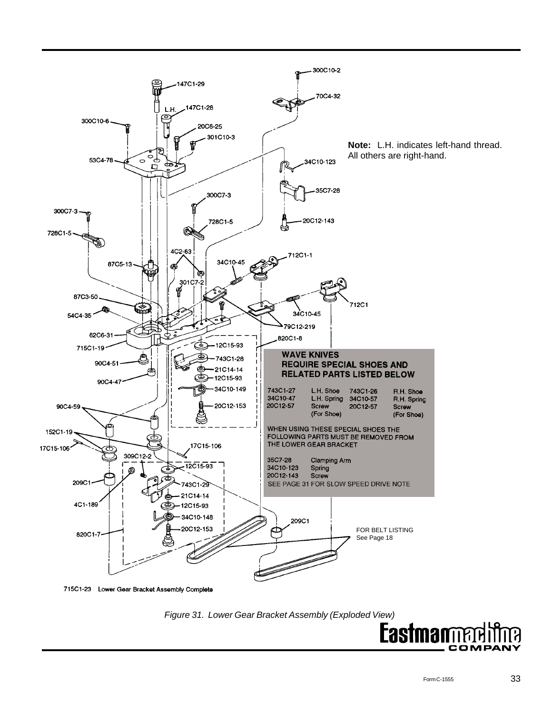

*Figure 31. Lower Gear Bracket Assembly (Exploded View)*

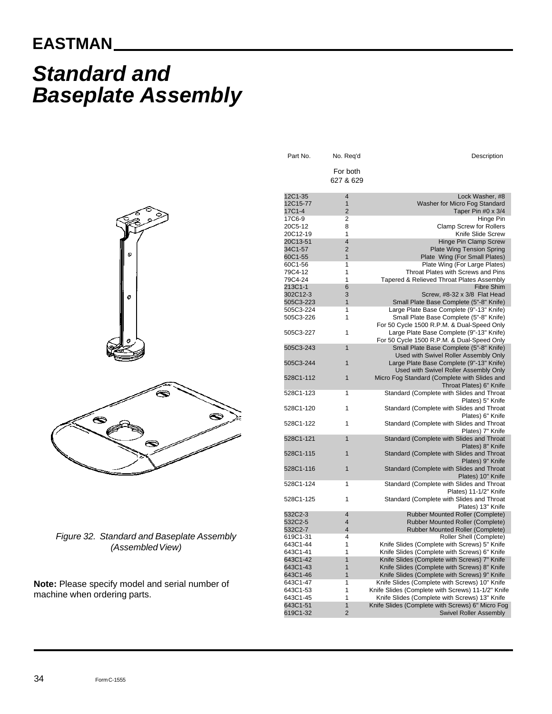## **EASTMAN**

# *Standard and Baseplate Assembly*

| Part No.                      | No. Req'd                             | Description                                                                         |
|-------------------------------|---------------------------------------|-------------------------------------------------------------------------------------|
|                               | For both<br>627 & 629                 |                                                                                     |
|                               |                                       |                                                                                     |
| 12C1-35<br>12C15-77<br>17C1-4 | $\overline{4}$<br>1<br>$\overline{2}$ | Lock Washer, #8<br>Washer for Micro Fog Standard                                    |
| 17C6-9                        | 2                                     | Taper Pin #0 x 3/4<br>Hinge Pin                                                     |
| 20C5-12                       | 8                                     | <b>Clamp Screw for Rollers</b>                                                      |
| 20C12-19                      | 1                                     | Knife Slide Screw                                                                   |
| 20C13-51                      | $\overline{\mathbf{4}}$               | Hinge Pin Clamp Screw                                                               |
| 34C1-57                       | 2                                     | <b>Plate Wing Tension Spring</b>                                                    |
| 60C1-55                       | $\overline{1}$                        | Plate Wing (For Small Plates)                                                       |
| 60C1-56                       | 1                                     | Plate Wing (For Large Plates)                                                       |
| 79C4-12                       | 1                                     | Throat Plates with Screws and Pins                                                  |
| 79C4-24                       | 1                                     | Tapered & Relieved Throat Plates Assembly                                           |
| 213C1-1                       | 6                                     | <b>Fibre Shim</b>                                                                   |
| 302C12-3                      | 3                                     | Screw, #8-32 x 3/8 Flat Head                                                        |
| 505C3-223<br>505C3-224        | $\overline{1}$<br>1                   | Small Plate Base Complete (5"-8" Knife)<br>Large Plate Base Complete (9"-13" Knife) |
| 505C3-226                     | 1                                     | Small Plate Base Complete (5"-8" Knife)                                             |
|                               |                                       | For 50 Cycle 1500 R.P.M. & Dual-Speed Only                                          |
| 505C3-227                     | 1                                     | Large Plate Base Complete (9"-13" Knife)                                            |
|                               |                                       | For 50 Cycle 1500 R.P.M. & Dual-Speed Only                                          |
| 505C3-243                     | $\overline{1}$                        | Small Plate Base Complete (5"-8" Knife)                                             |
|                               |                                       | Used with Swivel Roller Assembly Only                                               |
| 505C3-244                     | 1                                     | Large Plate Base Complete (9"-13" Knife)                                            |
|                               |                                       | Used with Swivel Roller Assembly Only                                               |
| 528C1-112                     | 1                                     | Micro Fog Standard (Complete with Slides and                                        |
|                               |                                       | Throat Plates) 6" Knife                                                             |
| 528C1-123                     | 1                                     | Standard (Complete with Slides and Throat<br>Plates) 5" Knife                       |
| 528C1-120                     | 1                                     | Standard (Complete with Slides and Throat                                           |
|                               |                                       | Plates) 6" Knife                                                                    |
| 528C1-122                     | 1                                     | Standard (Complete with Slides and Throat                                           |
|                               |                                       | Plates) 7" Knife                                                                    |
| 528C1-121                     | $\overline{1}$                        | Standard (Complete with Slides and Throat                                           |
|                               |                                       | Plates) 8" Knife                                                                    |
| 528C1-115                     | 1                                     | Standard (Complete with Slides and Throat<br>Plates) 9" Knife                       |
| 528C1-116                     | $\overline{1}$                        | Standard (Complete with Slides and Throat                                           |
|                               |                                       | Plates) 10" Knife                                                                   |
| 528C1-124                     | 1                                     | Standard (Complete with Slides and Throat                                           |
|                               |                                       | Plates) 11-1/2" Knife                                                               |
| 528C1-125                     | 1                                     | Standard (Complete with Slides and Throat                                           |
|                               |                                       | Plates) 13" Knife                                                                   |
| 532C2-3                       | 4                                     | <b>Rubber Mounted Roller (Complete)</b>                                             |
| 532C2-5                       | 4                                     | <b>Rubber Mounted Roller (Complete)</b>                                             |
| 532C2-7<br>619C1-31           | 4<br>4                                | <b>Rubber Mounted Roller (Complete)</b><br>Roller Shell (Complete)                  |
| 643C1-44                      | 1                                     | Knife Slides (Complete with Screws) 5" Knife                                        |
| 643C1-41                      | 1                                     | Knife Slides (Complete with Screws) 6" Knife                                        |
| 643C1-42                      | $\overline{1}$                        | Knife Slides (Complete with Screws) 7" Knife                                        |
| 643C1-43                      | $\overline{1}$                        | Knife Slides (Complete with Screws) 8" Knife                                        |
| 643C1-46                      | 1                                     | Knife Slides (Complete with Screws) 9" Knife                                        |
| 643C1-47                      | 1                                     | Knife Slides (Complete with Screws) 10" Knife                                       |
| 643C1-53                      | 1                                     | Knife Slides (Complete with Screws) 11-1/2" Knife                                   |
| 643C1-45                      | 1                                     | Knife Slides (Complete with Screws) 13" Knife                                       |
| 643C1-51                      | $\overline{1}$                        | Knife Slides (Complete with Screws) 6" Micro Fog                                    |
| 619C1-32                      | $\overline{2}$                        | <b>Swivel Roller Assembly</b>                                                       |



*Figure 32. Standard and Baseplate Assembly (Assembled View)*

**Note:** Please specify model and serial number of machine when ordering parts.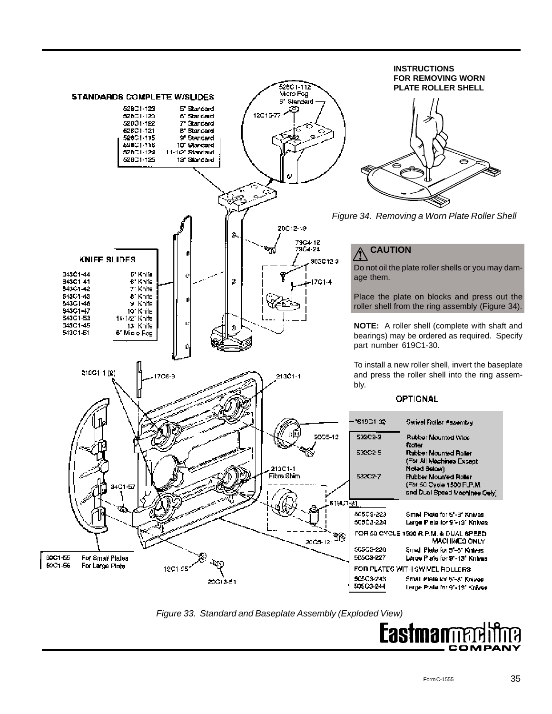

*Figure 33. Standard and Baseplate Assembly (Exploded View)*

Eastman COMPA